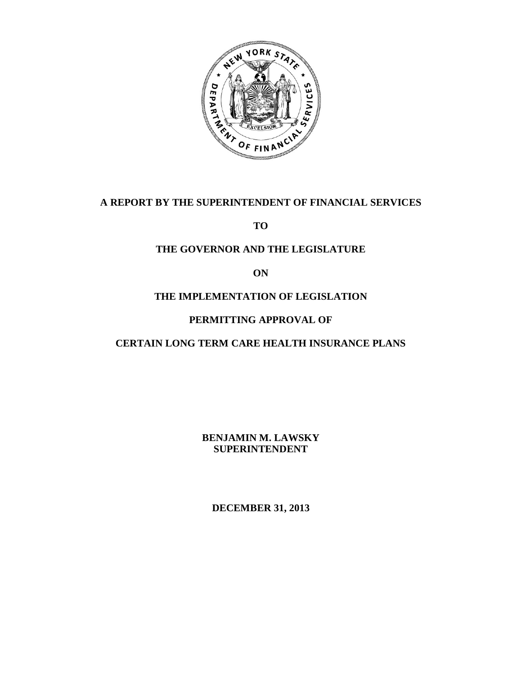

# **A REPORT BY THE SUPERINTENDENT OF FINANCIAL SERVICES**

**TO** 

# **THE GOVERNOR AND THE LEGISLATURE**

**ON** 

# **THE IMPLEMENTATION OF LEGISLATION**

# **PERMITTING APPROVAL OF**

# **CERTAIN LONG TERM CARE HEALTH INSURANCE PLANS**

 **BENJAMIN M. LAWSKY SUPERINTENDENT** 

**DECEMBER 31, 2013**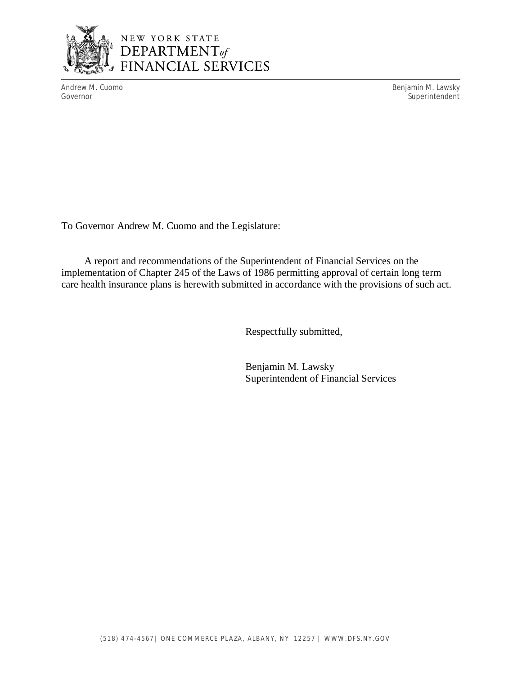

# NEW YORK STATE<br>DEPARTMENT of **FINANCIAL SERVICES**

Andrew M. Cuomo **Benjamin M. Lawsky** Governor Superintendent Superintendent Superintendent Superintendent Superintendent Superintendent Superintendent

To Governor Andrew M. Cuomo and the Legislature:

 implementation of Chapter 245 of the Laws of 1986 permitting approval of certain long term care health insurance plans is herewith submitted in accordance with the provisions of such act. A report and recommendations of the Superintendent of Financial Services on the

Respectfully submitted,

Benjamin M. Lawsky Superintendent of Financial Services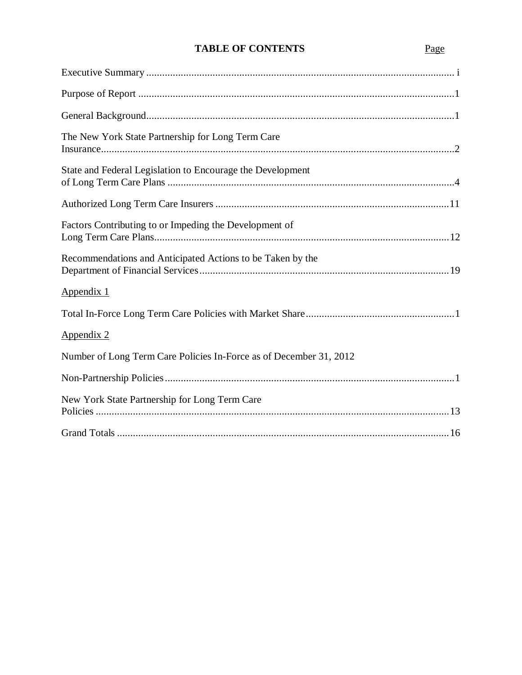# **TABLE OF CONTENTS** Page

| The New York State Partnership for Long Term Care                  |
|--------------------------------------------------------------------|
| State and Federal Legislation to Encourage the Development         |
|                                                                    |
| Factors Contributing to or Impeding the Development of             |
| Recommendations and Anticipated Actions to be Taken by the         |
| Appendix 1                                                         |
|                                                                    |
| Appendix 2                                                         |
| Number of Long Term Care Policies In-Force as of December 31, 2012 |
|                                                                    |
| New York State Partnership for Long Term Care                      |
|                                                                    |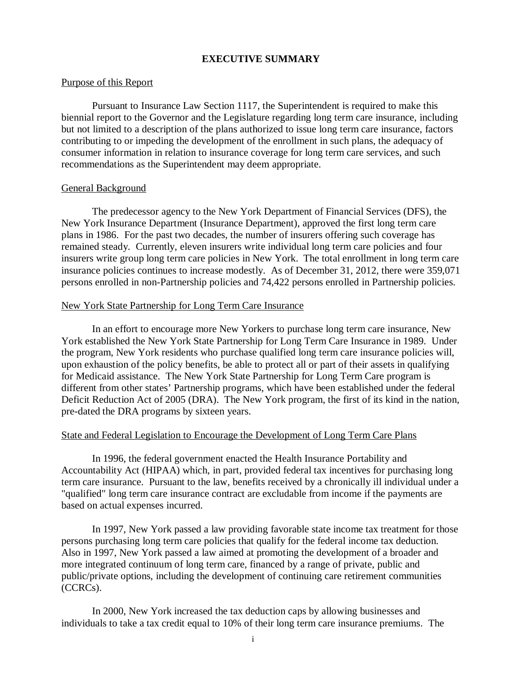#### **EXECUTIVE SUMMARY**

#### <span id="page-3-0"></span>Purpose of this Report

 Pursuant to Insurance Law Section 1117, the Superintendent is required to make this biennial report to the Governor and the Legislature regarding long term care insurance, including but not limited to a description of the plans authorized to issue long term care insurance, factors contributing to or impeding the development of the enrollment in such plans, the adequacy of consumer information in relation to insurance coverage for long term care services, and such recommendations as the Superintendent may deem appropriate.

#### General Background

 The predecessor agency to the New York Department of Financial Services (DFS), the New York Insurance Department (Insurance Department), approved the first long term care plans in 1986. For the past two decades, the number of insurers offering such coverage has remained steady. Currently, eleven insurers write individual long term care policies and four insurers write group long term care policies in New York. The total enrollment in long term care insurance policies continues to increase modestly. As of December 31, 2012, there were 359,071 persons enrolled in non-Partnership policies and 74,422 persons enrolled in Partnership policies.

#### New York State Partnership for Long Term Care Insurance

 In an effort to encourage more New Yorkers to purchase long term care insurance, New York established the New York State Partnership for Long Term Care Insurance in 1989. Under the program, New York residents who purchase qualified long term care insurance policies will, upon exhaustion of the policy benefits, be able to protect all or part of their assets in qualifying for Medicaid assistance. The New York State Partnership for Long Term Care program is different from other states' Partnership programs, which have been established under the federal Deficit Reduction Act of 2005 (DRA). The New York program, the first of its kind in the nation, pre-dated the DRA programs by sixteen years.

#### State and Federal Legislation to Encourage the Development of Long Term Care Plans

 In 1996, the federal government enacted the Health Insurance Portability and Accountability Act (HIPAA) which, in part, provided federal tax incentives for purchasing long term care insurance. Pursuant to the law, benefits received by a chronically ill individual under a "qualified" long term care insurance contract are excludable from income if the payments are based on actual expenses incurred.

 In 1997, New York passed a law providing favorable state income tax treatment for those persons purchasing long term care policies that qualify for the federal income tax deduction. Also in 1997, New York passed a law aimed at promoting the development of a broader and more integrated continuum of long term care, financed by a range of private, public and public/private options, including the development of continuing care retirement communities  $(CCRCs)$ . (CCRCs). In 2000, New York increased the tax deduction caps by allowing businesses and

individuals to take a tax credit equal to 10% of their long term care insurance premiums. The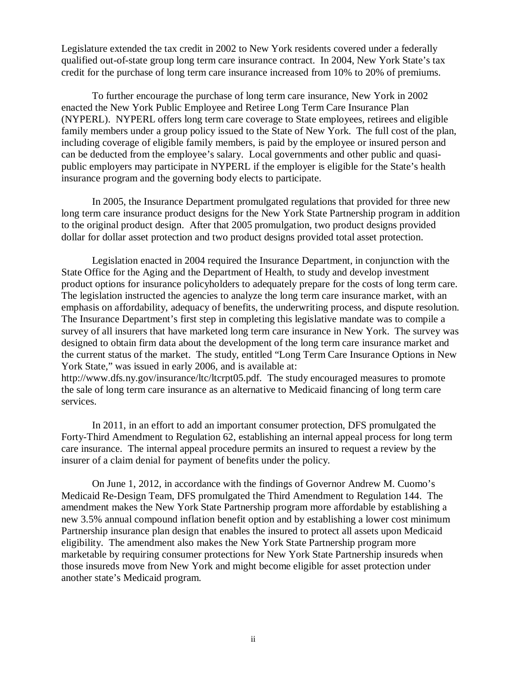Legislature extended the tax credit in 2002 to New York residents covered under a federally qualified out-of-state group long term care insurance contract. In 2004, New York State's tax credit for the purchase of long term care insurance increased from 10% to 20% of premiums.

 To further encourage the purchase of long term care insurance, New York in 2002 enacted the New York Public Employee and Retiree Long Term Care Insurance Plan (NYPERL). NYPERL offers long term care coverage to State employees, retirees and eligible family members under a group policy issued to the State of New York. The full cost of the plan, including coverage of eligible family members, is paid by the employee or insured person and can be deducted from the employee's salary. Local governments and other public and quasi- public employers may participate in NYPERL if the employer is eligible for the State's health insurance program and the governing body elects to participate.

 In 2005, the Insurance Department promulgated regulations that provided for three new long term care insurance product designs for the New York State Partnership program in addition to the original product design. After that 2005 promulgation, two product designs provided dollar for dollar asset protection and two product designs provided total asset protection.

 Legislation enacted in 2004 required the Insurance Department, in conjunction with the State Office for the Aging and the Department of Health, to study and develop investment product options for insurance policyholders to adequately prepare for the costs of long term care. The legislation instructed the agencies to analyze the long term care insurance market, with an emphasis on affordability, adequacy of benefits, the underwriting process, and dispute resolution. The Insurance Department's first step in completing this legislative mandate was to compile a survey of all insurers that have marketed long term care insurance in New York. The survey was designed to obtain firm data about the development of the long term care insurance market and the current status of the market. The study, entitled "Long Term Care Insurance Options in New York State," was issued in early 2006, and is available at:

 http://www.dfs.ny.gov/insurance/ltc/ltcrpt05.pdf. The study encouraged measures to promote the sale of long term care insurance as an alternative to Medicaid financing of long term care services.

services.<br>In 2011, in an effort to add an important consumer protection, DFS promulgated the Forty-Third Amendment to Regulation 62, establishing an internal appeal process for long term care insurance. The internal appeal procedure permits an insured to request a review by the insurer of a claim denial for payment of benefits under the policy.

 On June 1, 2012, in accordance with the findings of Governor Andrew M. Cuomo's Medicaid Re-Design Team, DFS promulgated the Third Amendment to Regulation 144. The amendment makes the New York State Partnership program more affordable by establishing a new 3.5% annual compound inflation benefit option and by establishing a lower cost minimum Partnership insurance plan design that enables the insured to protect all assets upon Medicaid eligibility. The amendment also makes the New York State Partnership program more marketable by requiring consumer protections for New York State Partnership insureds when those insureds move from New York and might become eligible for asset protection under another state's Medicaid program.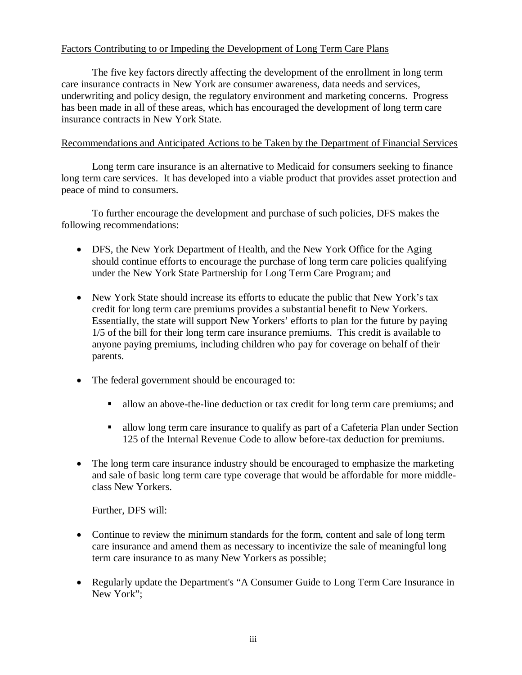# Factors Contributing to or Impeding the Development of Long Term Care Plans

 The five key factors directly affecting the development of the enrollment in long term care insurance contracts in New York are consumer awareness, data needs and services, underwriting and policy design, the regulatory environment and marketing concerns. Progress has been made in all of these areas, which has encouraged the development of long term care insurance contracts in New York State.

# Recommendations and Anticipated Actions to be Taken by the Department of Financial Services

 Long term care insurance is an alternative to Medicaid for consumers seeking to finance long term care services. It has developed into a viable product that provides asset protection and peace of mind to consumers.

 To further encourage the development and purchase of such policies, DFS makes the following recommendations:

- DFS, the New York Department of Health, and the New York Office for the Aging should continue efforts to encourage the purchase of long term care policies qualifying under the New York State Partnership for Long Term Care Program; and
- New York State should increase its efforts to educate the public that New York's tax credit for long term care premiums provides a substantial benefit to New Yorkers. Essentially, the state will support New Yorkers' efforts to plan for the future by paying 1/5 of the bill for their long term care insurance premiums. This credit is available to anyone paying premiums, including children who pay for coverage on behalf of their parents.
- The federal government should be encouraged to:
	- allow an above-the-line deduction or tax credit for long term care premiums; and
	- allow long term care insurance to qualify as part of a Cafeteria Plan under Section 125 of the Internal Revenue Code to allow before-tax deduction for premiums.
- The long term care insurance industry should be encouraged to emphasize the marketing and sale of basic long term care type coverage that would be affordable for more middleclass New Yorkers.

Further, DFS will:

- Continue to review the minimum standards for the form, content and sale of long term care insurance and amend them as necessary to incentivize the sale of meaningful long term care insurance to as many New Yorkers as possible;
- Regularly update the Department's "A Consumer Guide to Long Term Care Insurance in New York";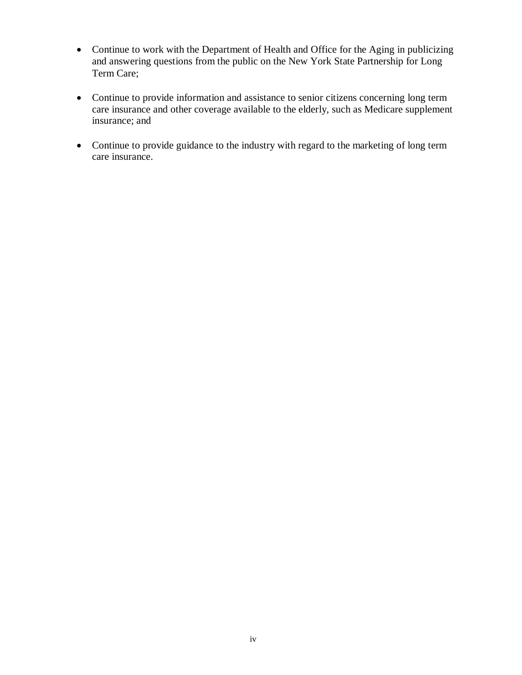- Continue to work with the Department of Health and Office for the Aging in publicizing and answering questions from the public on the New York State Partnership for Long Term Care;
- Continue to provide information and assistance to senior citizens concerning long term care insurance and other coverage available to the elderly, such as Medicare supplement insurance; and
- Continue to provide guidance to the industry with regard to the marketing of long term care insurance.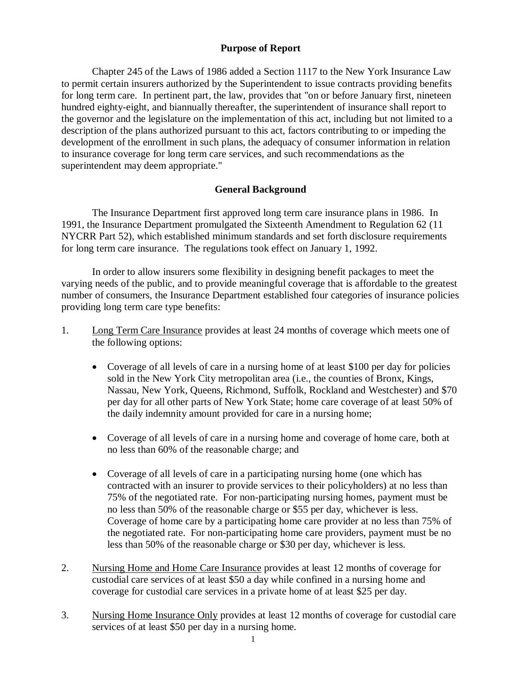# **Purpose of Report**

<span id="page-7-0"></span> Chapter 245 of the Laws of 1986 added a Section 1117 to the New York Insurance Law to permit certain insurers authorized by the Superintendent to issue contracts providing benefits for long term care. In pertinent part, the law, provides that "on or before January first, nineteen hundred eighty-eight, and biannually thereafter, the superintendent of insurance shall report to the governor and the legislature on the implementation of this act, including but not limited to a description of the plans authorized pursuant to this act, factors contributing to or impeding the development of the enrollment in such plans, the adequacy of consumer information in relation to insurance coverage for long term care services, and such recommendations as the superintendent may deem appropriate."

# **General Background**

 1991, the Insurance Department promulgated the Sixteenth Amendment to Regulation 62 (11 NYCRR Part 52), which established minimum standards and set forth disclosure requirements for long term care insurance. The regulations took effect on January 1, 1992. The Insurance Department first approved long term care insurance plans in 1986. In

 varying needs of the public, and to provide meaningful coverage that is affordable to the greatest number of consumers, the Insurance Department established four categories of insurance policies providing long term care type benefits: In order to allow insurers some flexibility in designing benefit packages to meet the

- 1. Long Term Care Insurance provides at least 24 months of coverage which meets one of the following options:
	- Coverage of all levels of care in a nursing home of at least \$100 per day for policies sold in the New York City metropolitan area (i.e., the counties of Bronx, Kings, Nassau, New York, Queens, Richmond, Suffolk, Rockland and Westchester) and \$70 per day for all other parts of New York State; home care coverage of at least 50% of the daily indemnity amount provided for care in a nursing home;
	- Coverage of all levels of care in a nursing home and coverage of home care, both at no less than 60% of the reasonable charge; and
	- Coverage of all levels of care in a participating nursing home (one which has contracted with an insurer to provide services to their policyholders) at no less than 75% of the negotiated rate. For non-participating nursing homes, payment must be no less than 50% of the reasonable charge or \$55 per day, whichever is less. Coverage of home care by a participating home care provider at no less than 75% of the negotiated rate. For non-participating home care providers, payment must be no less than 50% of the reasonable charge or \$30 per day, whichever is less.
- 2. Nursing Home and Home Care Insurance provides at least 12 months of coverage for custodial care services of at least \$50 a day while confined in a nursing home and coverage for custodial care services in a private home of at least \$25 per day.
- 3. Nursing Home Insurance Only provides at least 12 months of coverage for custodial care services of at least \$50 per day in a nursing home.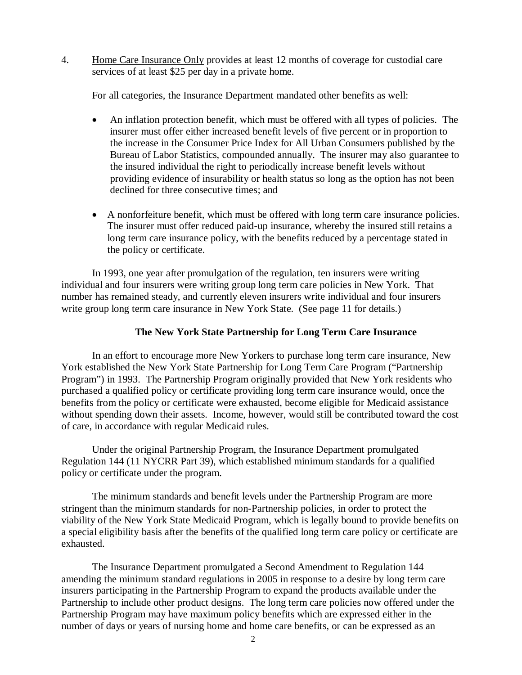<span id="page-8-0"></span> $\overline{4}$ . services of at least \$25 per day in a private home. 4. Home Care Insurance Only provides at least 12 months of coverage for custodial care

For all categories, the Insurance Department mandated other benefits as well:

- An inflation protection benefit, which must be offered with all types of policies. The insurer must offer either increased benefit levels of five percent or in proportion to the increase in the Consumer Price Index for All Urban Consumers published by the Bureau of Labor Statistics, compounded annually. The insurer may also guarantee to the insured individual the right to periodically increase benefit levels without providing evidence of insurability or health status so long as the option has not been declined for three consecutive times; and
- A nonforfeiture benefit, which must be offered with long term care insurance policies. The insurer must offer reduced paid-up insurance, whereby the insured still retains a long term care insurance policy, with the benefits reduced by a percentage stated in the policy or certificate.

 In 1993, one year after promulgation of the regulation, ten insurers were writing individual and four insurers were writing group long term care policies in New York. That number has remained steady, and currently eleven insurers write individual and four insurers write group long term care insurance in New York State. (See page 11 for details.)

# **The New York State Partnership for Long Term Care Insurance**

 In an effort to encourage more New Yorkers to purchase long term care insurance, New York established the New York State Partnership for Long Term Care Program ("Partnership Program") in 1993. The Partnership Program originally provided that New York residents who purchased a qualified policy or certificate providing long term care insurance would, once the benefits from the policy or certificate were exhausted, become eligible for Medicaid assistance without spending down their assets. Income, however, would still be contributed toward the cost of care, in accordance with regular Medicaid rules.

 Under the original Partnership Program, the Insurance Department promulgated Regulation 144 (11 NYCRR Part 39), which established minimum standards for a qualified policy or certificate under the program.

 The minimum standards and benefit levels under the Partnership Program are more stringent than the minimum standards for non-Partnership policies, in order to protect the viability of the New York State Medicaid Program, which is legally bound to provide benefits on a special eligibility basis after the benefits of the qualified long term care policy or certificate are exhausted.

 The Insurance Department promulgated a Second Amendment to Regulation 144 amending the minimum standard regulations in 2005 in response to a desire by long term care insurers participating in the Partnership Program to expand the products available under the Partnership to include other product designs. The long term care policies now offered under the Partnership Program may have maximum policy benefits which are expressed either in the number of days or years of nursing home and home care benefits, or can be expressed as an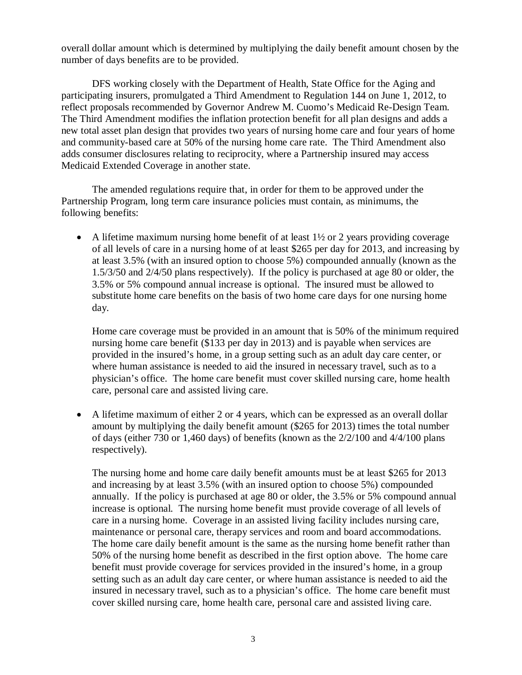overall dollar amount which is determined by multiplying the daily benefit amount chosen by the number of days benefits are to be provided.

 DFS working closely with the Department of Health, State Office for the Aging and participating insurers, promulgated a Third Amendment to Regulation 144 on June 1, 2012, to reflect proposals recommended by Governor Andrew M. Cuomo's Medicaid Re-Design Team. The Third Amendment modifies the inflation protection benefit for all plan designs and adds a new total asset plan design that provides two years of nursing home care and four years of home and community-based care at 50% of the nursing home care rate. The Third Amendment also adds consumer disclosures relating to reciprocity, where a Partnership insured may access Medicaid Extended Coverage in another state.

 The amended regulations require that, in order for them to be approved under the Partnership Program, long term care insurance policies must contain, as minimums, the following benefits:

A lifetime maximum nursing home benefit of at least  $1\frac{1}{2}$  or 2 years providing coverage of all levels of care in a nursing home of at least \$265 per day for 2013, and increasing by at least 3.5% (with an insured option to choose 5%) compounded annually (known as the 1.5/3/50 and 2/4/50 plans respectively). If the policy is purchased at age 80 or older, the 3.5% or 5% compound annual increase is optional. The insured must be allowed to substitute home care benefits on the basis of two home care days for one nursing home day.

 Home care coverage must be provided in an amount that is 50% of the minimum required nursing home care benefit (\$133 per day in 2013) and is payable when services are provided in the insured's home, in a group setting such as an adult day care center, or where human assistance is needed to aid the insured in necessary travel, such as to a physician's office. The home care benefit must cover skilled nursing care, home health care, personal care and assisted living care.

 A lifetime maximum of either 2 or 4 years, which can be expressed as an overall dollar amount by multiplying the daily benefit amount (\$265 for 2013) times the total number of days (either 730 or 1,460 days) of benefits (known as the 2/2/100 and 4/4/100 plans respectively).

respectively).<br>The nursing home and home care daily benefit amounts must be at least \$265 for 2013 and increasing by at least 3.5% (with an insured option to choose 5%) compounded annually. If the policy is purchased at age 80 or older, the 3.5% or 5% compound annual increase is optional. The nursing home benefit must provide coverage of all levels of care in a nursing home. Coverage in an assisted living facility includes nursing care, maintenance or personal care, therapy services and room and board accommodations. The home care daily benefit amount is the same as the nursing home benefit rather than 50% of the nursing home benefit as described in the first option above. The home care benefit must provide coverage for services provided in the insured's home, in a group setting such as an adult day care center, or where human assistance is needed to aid the insured in necessary travel, such as to a physician's office. The home care benefit must cover skilled nursing care, home health care, personal care and assisted living care.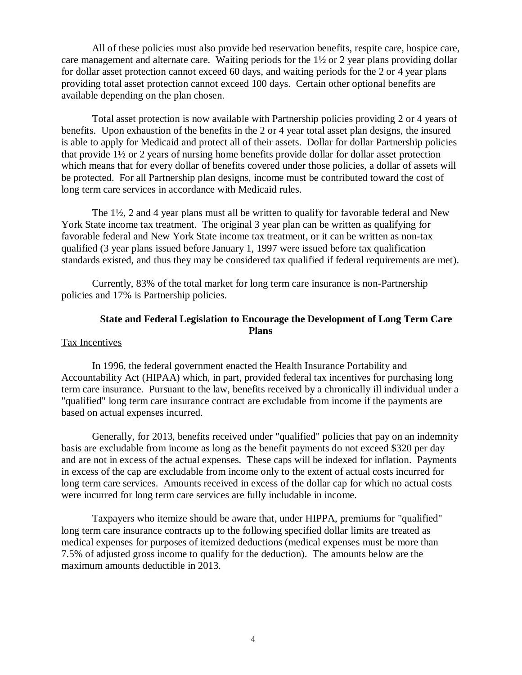<span id="page-10-0"></span> care management and alternate care. Waiting periods for the 1½ or 2 year plans providing dollar for dollar asset protection cannot exceed 60 days, and waiting periods for the 2 or 4 year plans providing total asset protection cannot exceed 100 days. Certain other optional benefits are available depending on the plan chosen. All of these policies must also provide bed reservation benefits, respite care, hospice care,

 benefits. Upon exhaustion of the benefits in the 2 or 4 year total asset plan designs, the insured is able to apply for Medicaid and protect all of their assets. Dollar for dollar Partnership policies that provide 1½ or 2 years of nursing home benefits provide dollar for dollar asset protection which means that for every dollar of benefits covered under those policies, a dollar of assets will be protected. For all Partnership plan designs, income must be contributed toward the cost of long term care services in accordance with Medicaid rules. Total asset protection is now available with Partnership policies providing 2 or 4 years of

 York State income tax treatment. The original 3 year plan can be written as qualifying for favorable federal and New York State income tax treatment, or it can be written as non-tax qualified (3 year plans issued before January 1, 1997 were issued before tax qualification standards existed, and thus they may be considered tax qualified if federal requirements are met). The  $1\frac{1}{2}$ , 2 and 4 year plans must all be written to qualify for favorable federal and New

 Currently, 83% of the total market for long term care insurance is non-Partnership policies and 17% is Partnership policies.

## **State and Federal Legislation to Encourage the Development of Long Term Care Plans**

#### Tax Incentives

 In 1996, the federal government enacted the Health Insurance Portability and Accountability Act (HIPAA) which, in part, provided federal tax incentives for purchasing long term care insurance. Pursuant to the law, benefits received by a chronically ill individual under a "qualified" long term care insurance contract are excludable from income if the payments are based on actual expenses incurred.

 Generally, for 2013, benefits received under "qualified" policies that pay on an indemnity basis are excludable from income as long as the benefit payments do not exceed \$320 per day and are not in excess of the actual expenses. These caps will be indexed for inflation. Payments in excess of the cap are excludable from income only to the extent of actual costs incurred for long term care services. Amounts received in excess of the dollar cap for which no actual costs were incurred for long term care services are fully includable in income.

 Taxpayers who itemize should be aware that, under HIPPA, premiums for "qualified" long term care insurance contracts up to the following specified dollar limits are treated as medical expenses for purposes of itemized deductions (medical expenses must be more than 7.5% of adjusted gross income to qualify for the deduction). The amounts below are the maximum amounts deductible in 2013.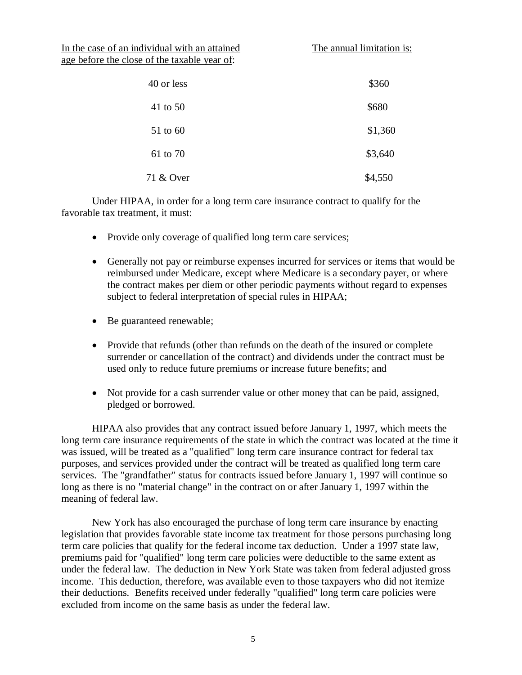In the case of an individual with an attained The annual limitation is: age before the close of the taxable year of:

| 40 or less | \$360   |
|------------|---------|
| 41 to 50   | \$680   |
| 51 to 60   | \$1,360 |
| 61 to 70   | \$3,640 |
| 71 & Over  | \$4,550 |

 Under HIPAA, in order for a long term care insurance contract to qualify for the favorable tax treatment, it must:

- Provide only coverage of qualified long term care services;
- Generally not pay or reimburse expenses incurred for services or items that would be reimbursed under Medicare, except where Medicare is a secondary payer, or where the contract makes per diem or other periodic payments without regard to expenses subject to federal interpretation of special rules in HIPAA;
- Be guaranteed renewable;
- Provide that refunds (other than refunds on the death of the insured or complete surrender or cancellation of the contract) and dividends under the contract must be used only to reduce future premiums or increase future benefits; and
- Not provide for a cash surrender value or other money that can be paid, assigned, pledged or borrowed.

 HIPAA also provides that any contract issued before January 1, 1997, which meets the long term care insurance requirements of the state in which the contract was located at the time it was issued, will be treated as a "qualified" long term care insurance contract for federal tax purposes, and services provided under the contract will be treated as qualified long term care services. The "grandfather" status for contracts issued before January 1, 1997 will continue so long as there is no "material change" in the contract on or after January 1, 1997 within the meaning of federal law.

 New York has also encouraged the purchase of long term care insurance by enacting legislation that provides favorable state income tax treatment for those persons purchasing long term care policies that qualify for the federal income tax deduction. Under a 1997 state law, premiums paid for "qualified" long term care policies were deductible to the same extent as under the federal law. The deduction in New York State was taken from federal adjusted gross income. This deduction, therefore, was available even to those taxpayers who did not itemize their deductions. Benefits received under federally "qualified" long term care policies were excluded from income on the same basis as under the federal law.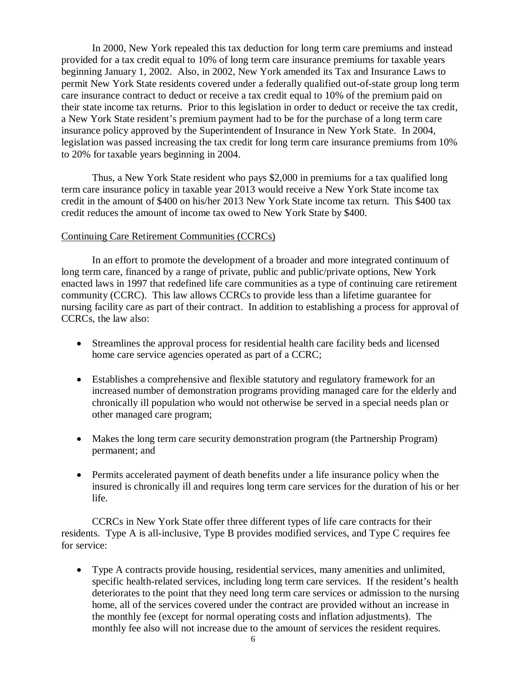In 2000, New York repealed this tax deduction for long term care premiums and instead provided for a tax credit equal to 10% of long term care insurance premiums for taxable years beginning January 1, 2002. Also, in 2002, New York amended its Tax and Insurance Laws to permit New York State residents covered under a federally qualified out-of-state group long term care insurance contract to deduct or receive a tax credit equal to 10% of the premium paid on their state income tax returns. Prior to this legislation in order to deduct or receive the tax credit, a New York State resident's premium payment had to be for the purchase of a long term care insurance policy approved by the Superintendent of Insurance in New York State. In 2004, legislation was passed increasing the tax credit for long term care insurance premiums from 10% to 20% for taxable years beginning in 2004.

 Thus, a New York State resident who pays \$2,000 in premiums for a tax qualified long term care insurance policy in taxable year 2013 would receive a New York State income tax credit in the amount of \$400 on his/her 2013 New York State income tax return. This \$400 tax credit reduces the amount of income tax owed to New York State by \$400.

# Continuing Care Retirement Communities (CCRCs)

 In an effort to promote the development of a broader and more integrated continuum of long term care, financed by a range of private, public and public/private options, New York enacted laws in 1997 that redefined life care communities as a type of continuing care retirement community (CCRC). This law allows CCRCs to provide less than a lifetime guarantee for nursing facility care as part of their contract. In addition to establishing a process for approval of CCRCs, the law also:

- Streamlines the approval process for residential health care facility beds and licensed home care service agencies operated as part of a CCRC;
- Establishes a comprehensive and flexible statutory and regulatory framework for an increased number of demonstration programs providing managed care for the elderly and chronically ill population who would not otherwise be served in a special needs plan or other managed care program;
- Makes the long term care security demonstration program (the Partnership Program) permanent; and
- Permits accelerated payment of death benefits under a life insurance policy when the insured is chronically ill and requires long term care services for the duration of his or her life.

 CCRCs in New York State offer three different types of life care contracts for their residents. Type A is all-inclusive, Type B provides modified services, and Type C requires fee for service:

 Type A contracts provide housing, residential services, many amenities and unlimited, specific health-related services, including long term care services. If the resident's health deteriorates to the point that they need long term care services or admission to the nursing home, all of the services covered under the contract are provided without an increase in the monthly fee (except for normal operating costs and inflation adjustments). The monthly fee also will not increase due to the amount of services the resident requires.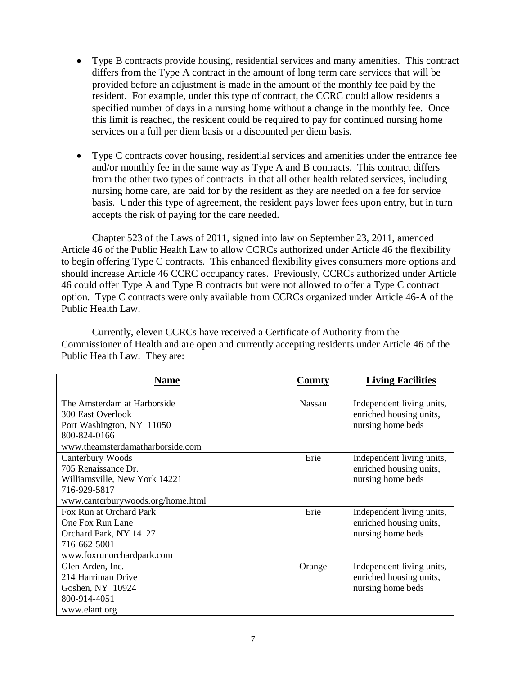- Type B contracts provide housing, residential services and many amenities. This contract differs from the Type A contract in the amount of long term care services that will be provided before an adjustment is made in the amount of the monthly fee paid by the resident. For example, under this type of contract, the CCRC could allow residents a specified number of days in a nursing home without a change in the monthly fee. Once this limit is reached, the resident could be required to pay for continued nursing home services on a full per diem basis or a discounted per diem basis.
- Type C contracts cover housing, residential services and amenities under the entrance fee and/or monthly fee in the same way as Type A and B contracts. This contract differs from the other two types of contracts in that all other health related services, including nursing home care, are paid for by the resident as they are needed on a fee for service basis. Under this type of agreement, the resident pays lower fees upon entry, but in turn accepts the risk of paying for the care needed.

 Chapter 523 of the Laws of 2011, signed into law on September 23, 2011, amended Article 46 of the Public Health Law to allow CCRCs authorized under Article 46 the flexibility to begin offering Type C contracts. This enhanced flexibility gives consumers more options and should increase Article 46 CCRC occupancy rates. Previously, CCRCs authorized under Article 46 could offer Type A and Type B contracts but were not allowed to offer a Type C contract option. Type C contracts were only available from CCRCs organized under Article 46-A of the Public Health Law.

 Currently, eleven CCRCs have received a Certificate of Authority from the Commissioner of Health and are open and currently accepting residents under Article 46 of the Public Health Law. They are:

| <b>Na<u>me</u></b>                                                                                                                | <b>County</b> | <b>Living Facilities</b>                                                  |
|-----------------------------------------------------------------------------------------------------------------------------------|---------------|---------------------------------------------------------------------------|
| The Amsterdam at Harborside<br>300 East Overlook<br>Port Washington, NY 11050<br>800-824-0166<br>www.theamsterdamatharborside.com | <b>Nassau</b> | Independent living units,<br>enriched housing units,<br>nursing home beds |
| Canterbury Woods<br>705 Renaissance Dr.<br>Williamsville, New York 14221<br>716-929-5817<br>www.canterburywoods.org/home.html     | Erie          | Independent living units,<br>enriched housing units,<br>nursing home beds |
| Fox Run at Orchard Park<br>One Fox Run Lane<br>Orchard Park, NY 14127<br>716-662-5001<br>www.foxrunorchardpark.com                | Erie          | Independent living units,<br>enriched housing units,<br>nursing home beds |
| Glen Arden, Inc.<br>214 Harriman Drive<br>Goshen, NY 10924<br>800-914-4051<br>www.elant.org                                       | Orange        | Independent living units,<br>enriched housing units,<br>nursing home beds |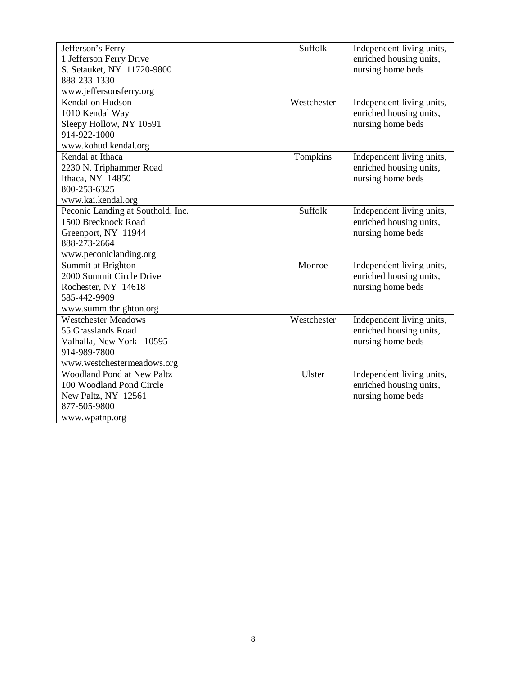| Jefferson's Ferry                 | Suffolk     | Independent living units, |
|-----------------------------------|-------------|---------------------------|
| 1 Jefferson Ferry Drive           |             | enriched housing units,   |
| S. Setauket, NY 11720-9800        |             | nursing home beds         |
| 888-233-1330                      |             |                           |
| www.jeffersonsferry.org           |             |                           |
| Kendal on Hudson                  | Westchester | Independent living units, |
| 1010 Kendal Way                   |             | enriched housing units,   |
| Sleepy Hollow, NY 10591           |             | nursing home beds         |
| 914-922-1000                      |             |                           |
| www.kohud.kendal.org              |             |                           |
| Kendal at Ithaca                  | Tompkins    | Independent living units, |
| 2230 N. Triphammer Road           |             | enriched housing units,   |
| Ithaca, NY 14850                  |             | nursing home beds         |
| 800-253-6325                      |             |                           |
| www.kai.kendal.org                |             |                           |
| Peconic Landing at Southold, Inc. | Suffolk     | Independent living units, |
| 1500 Brecknock Road               |             | enriched housing units,   |
| Greenport, NY 11944               |             | nursing home beds         |
| 888-273-2664                      |             |                           |
| www.peconiclanding.org            |             |                           |
| Summit at Brighton                | Monroe      | Independent living units, |
| 2000 Summit Circle Drive          |             | enriched housing units,   |
| Rochester, NY 14618               |             | nursing home beds         |
| 585-442-9909                      |             |                           |
| www.summitbrighton.org            |             |                           |
| <b>Westchester Meadows</b>        | Westchester | Independent living units, |
| 55 Grasslands Road                |             | enriched housing units,   |
| Valhalla, New York 10595          |             | nursing home beds         |
| 914-989-7800                      |             |                           |
| www.westchestermeadows.org        |             |                           |
| <b>Woodland Pond at New Paltz</b> | Ulster      | Independent living units, |
| 100 Woodland Pond Circle          |             | enriched housing units,   |
| New Paltz, NY 12561               |             | nursing home beds         |
| 877-505-9800                      |             |                           |
| www.wpatnp.org                    |             |                           |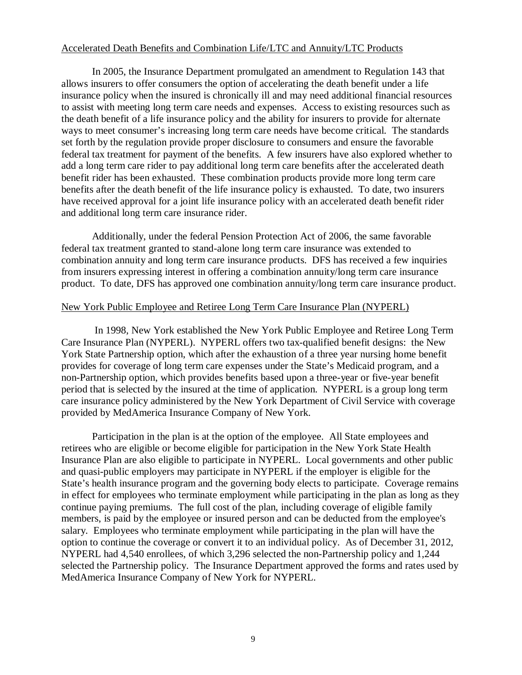## Accelerated Death Benefits and Combination Life/LTC and Annuity/LTC Products

 In 2005, the Insurance Department promulgated an amendment to Regulation 143 that allows insurers to offer consumers the option of accelerating the death benefit under a life insurance policy when the insured is chronically ill and may need additional financial resources to assist with meeting long term care needs and expenses. Access to existing resources such as the death benefit of a life insurance policy and the ability for insurers to provide for alternate ways to meet consumer's increasing long term care needs have become critical. The standards set forth by the regulation provide proper disclosure to consumers and ensure the favorable federal tax treatment for payment of the benefits. A few insurers have also explored whether to add a long term care rider to pay additional long term care benefits after the accelerated death benefit rider has been exhausted. These combination products provide more long term care benefits after the death benefit of the life insurance policy is exhausted. To date, two insurers have received approval for a joint life insurance policy with an accelerated death benefit rider and additional long term care insurance rider.

 Additionally, under the federal Pension Protection Act of 2006, the same favorable federal tax treatment granted to stand-alone long term care insurance was extended to combination annuity and long term care insurance products. DFS has received a few inquiries from insurers expressing interest in offering a combination annuity/long term care insurance product. To date, DFS has approved one combination annuity/long term care insurance product.

# New York Public Employee and Retiree Long Term Care Insurance Plan (NYPERL)

 In 1998, New York established the New York Public Employee and Retiree Long Term Care Insurance Plan (NYPERL). NYPERL offers two tax-qualified benefit designs: the New York State Partnership option, which after the exhaustion of a three year nursing home benefit provides for coverage of long term care expenses under the State's Medicaid program, and a non-Partnership option, which provides benefits based upon a three-year or five-year benefit period that is selected by the insured at the time of application. NYPERL is a group long term care insurance policy administered by the New York Department of Civil Service with coverage provided by MedAmerica Insurance Company of New York.

 Participation in the plan is at the option of the employee. All State employees and retirees who are eligible or become eligible for participation in the New York State Health Insurance Plan are also eligible to participate in NYPERL. Local governments and other public and quasi-public employers may participate in NYPERL if the employer is eligible for the State's health insurance program and the governing body elects to participate. Coverage remains in effect for employees who terminate employment while participating in the plan as long as they continue paying premiums. The full cost of the plan, including coverage of eligible family members, is paid by the employee or insured person and can be deducted from the employee's salary. Employees who terminate employment while participating in the plan will have the option to continue the coverage or convert it to an individual policy. As of December 31, 2012, NYPERL had 4,540 enrollees, of which 3,296 selected the non-Partnership policy and 1,244 selected the Partnership policy. The Insurance Department approved the forms and rates used by MedAmerica Insurance Company of New York for NYPERL.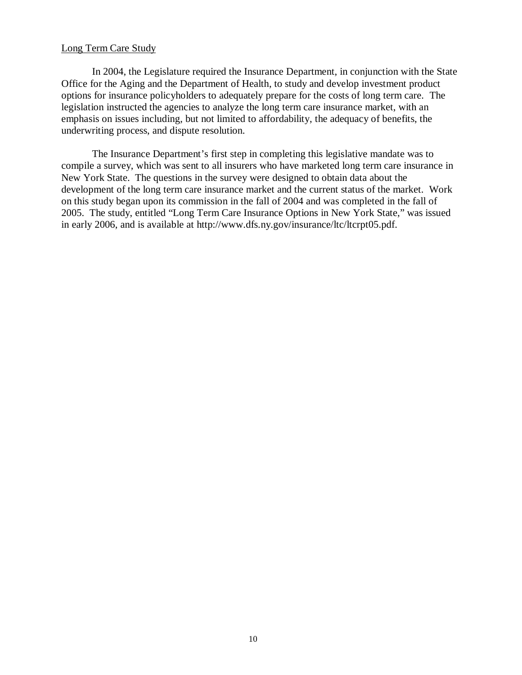#### Long Term Care Study

 Office for the Aging and the Department of Health, to study and develop investment product options for insurance policyholders to adequately prepare for the costs of long term care. The legislation instructed the agencies to analyze the long term care insurance market, with an emphasis on issues including, but not limited to affordability, the adequacy of benefits, the underwriting process, and dispute resolution. In 2004, the Legislature required the Insurance Department, in conjunction with the State

 compile a survey, which was sent to all insurers who have marketed long term care insurance in New York State. The questions in the survey were designed to obtain data about the development of the long term care insurance market and the current status of the market. Work on this study began upon its commission in the fall of 2004 and was completed in the fall of 2005. The study, entitled "Long Term Care Insurance Options in New York State," was issued in early 2006, and is available at http://www.dfs.ny.gov/insurance/ltc/ltcrpt05.pdf. The Insurance Department's first step in completing this legislative mandate was to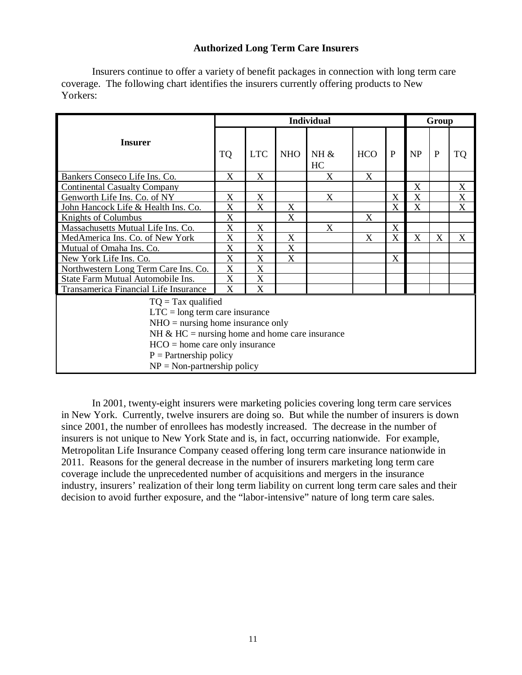# **Authorized Long Term Care Insurers**

 Insurers continue to offer a variety of benefit packages in connection with long term care coverage. The following chart identifies the insurers currently offering products to New Yorkers:

|                                                                                                                                                                                                                                                      |                           |            |                           | <b>Individual</b>         |            |                           |                           | Group        |                           |
|------------------------------------------------------------------------------------------------------------------------------------------------------------------------------------------------------------------------------------------------------|---------------------------|------------|---------------------------|---------------------------|------------|---------------------------|---------------------------|--------------|---------------------------|
| <b>Insurer</b>                                                                                                                                                                                                                                       | <b>TQ</b>                 | <b>LTC</b> | <b>NHO</b>                | $NH \&$<br>HC             | <b>HCO</b> | $\mathbf{P}$              | NP                        | $\mathbf{P}$ | <b>TQ</b>                 |
| Bankers Conseco Life Ins. Co.                                                                                                                                                                                                                        | X                         | X          |                           | X                         | X          |                           |                           |              |                           |
| <b>Continental Casualty Company</b>                                                                                                                                                                                                                  |                           |            |                           |                           |            |                           | $\boldsymbol{\mathrm{X}}$ |              | $\boldsymbol{\mathrm{X}}$ |
| Genworth Life Ins. Co. of NY                                                                                                                                                                                                                         | X                         | X          |                           | X                         |            | X                         | X                         |              | $\mathbf X$               |
| John Hancock Life & Health Ins. Co.                                                                                                                                                                                                                  | X                         | X          | X                         |                           |            | X                         | X                         |              | X                         |
| Knights of Columbus                                                                                                                                                                                                                                  | X                         |            | $\boldsymbol{\mathrm{X}}$ |                           | X          |                           |                           |              |                           |
| Massachusetts Mutual Life Ins. Co.                                                                                                                                                                                                                   | X                         | X          |                           | $\boldsymbol{\mathrm{X}}$ |            | X                         |                           |              |                           |
| MedAmerica Ins. Co. of New York                                                                                                                                                                                                                      | X                         | X          | X                         |                           | X          | X                         | X                         | X            | X                         |
| Mutual of Omaha Ins. Co.                                                                                                                                                                                                                             | X                         | X          | X                         |                           |            |                           |                           |              |                           |
| New York Life Ins. Co.                                                                                                                                                                                                                               | X                         | X          | $\boldsymbol{\mathrm{X}}$ |                           |            | $\boldsymbol{\mathrm{X}}$ |                           |              |                           |
| Northwestern Long Term Care Ins. Co.                                                                                                                                                                                                                 | X                         | X          |                           |                           |            |                           |                           |              |                           |
| State Farm Mutual Automobile Ins.                                                                                                                                                                                                                    | $\boldsymbol{\mathrm{X}}$ | X          |                           |                           |            |                           |                           |              |                           |
| Transamerica Financial Life Insurance                                                                                                                                                                                                                | X                         | X          |                           |                           |            |                           |                           |              |                           |
| $TQ = Tax$ qualified<br>$LTC = long$ term care insurance<br>$NHO =$ nursing home insurance only<br>NH $&$ HC = nursing home and home care insurance<br>$HCO = home care only insurance$<br>$P =$ Partnership policy<br>$NP = Non-partnership policy$ |                           |            |                           |                           |            |                           |                           |              |                           |

 In 2001, twenty-eight insurers were marketing policies covering long term care services in New York. Currently, twelve insurers are doing so. But while the number of insurers is down since 2001, the number of enrollees has modestly increased. The decrease in the number of insurers is not unique to New York State and is, in fact, occurring nationwide. For example, Metropolitan Life Insurance Company ceased offering long term care insurance nationwide in 2011. Reasons for the general decrease in the number of insurers marketing long term care coverage include the unprecedented number of acquisitions and mergers in the insurance industry, insurers' realization of their long term liability on current long term care sales and their decision to avoid further exposure, and the "labor-intensive" nature of long term care sales.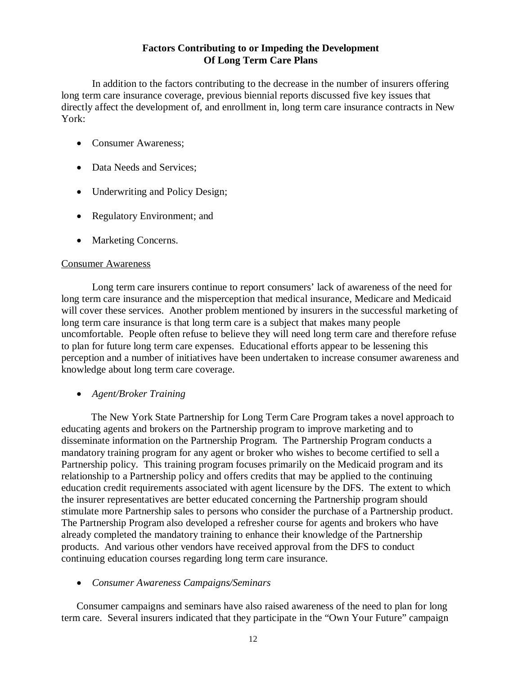# **Of Long Term Care Plans Factors Contributing to or Impeding the Development**

<span id="page-18-0"></span> long term care insurance coverage, previous biennial reports discussed five key issues that directly affect the development of, and enrollment in, long term care insurance contracts in New In addition to the factors contributing to the decrease in the number of insurers offering York:

- Consumer Awareness;
- Data Needs and Services;
- Underwriting and Policy Design;
- Regulatory Environment; and
- Marketing Concerns.

## Consumer Awareness

 Long term care insurers continue to report consumers' lack of awareness of the need for long term care insurance and the misperception that medical insurance, Medicare and Medicaid will cover these services. Another problem mentioned by insurers in the successful marketing of long term care insurance is that long term care is a subject that makes many people uncomfortable. People often refuse to believe they will need long term care and therefore refuse to plan for future long term care expenses. Educational efforts appear to be lessening this perception and a number of initiatives have been undertaken to increase consumer awareness and knowledge about long term care coverage.

 *Agent/Broker Training* 

 educating agents and brokers on the Partnership program to improve marketing and to disseminate information on the Partnership Program. The Partnership Program conducts a mandatory training program for any agent or broker who wishes to become certified to sell a Partnership policy. This training program focuses primarily on the Medicaid program and its relationship to a Partnership policy and offers credits that may be applied to the continuing education credit requirements associated with agent licensure by the DFS. The extent to which the insurer representatives are better educated concerning the Partnership program should stimulate more Partnership sales to persons who consider the purchase of a Partnership product. The Partnership Program also developed a refresher course for agents and brokers who have already completed the mandatory training to enhance their knowledge of the Partnership products. And various other vendors have received approval from the DFS to conduct continuing education courses regarding long term care insurance. The New York State Partnership for Long Term Care Program takes a novel approach to

 *Consumer Awareness Campaigns/Seminars* 

 Consumer campaigns and seminars have also raised awareness of the need to plan for long term care. Several insurers indicated that they participate in the "Own Your Future" campaign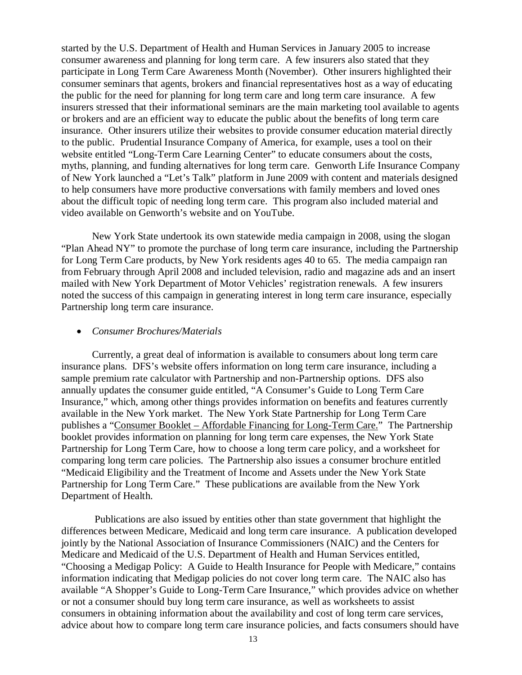<span id="page-19-0"></span> started by the U.S. Department of Health and Human Services in January 2005 to increase consumer awareness and planning for long term care. A few insurers also stated that they participate in Long Term Care Awareness Month (November). Other insurers highlighted their consumer seminars that agents, brokers and financial representatives host as a way of educating the public for the need for planning for long term care and long term care insurance. A few insurers stressed that their informational seminars are the main marketing tool available to agents or brokers and are an efficient way to educate the public about the benefits of long term care insurance. Other insurers utilize their websites to provide consumer education material directly to the public. Prudential Insurance Company of America, for example, uses a tool on their website entitled "Long-Term Care Learning Center" to educate consumers about the costs, myths, planning, and funding alternatives for long term care. Genworth Life Insurance Company of New York launched a "Let's Talk" platform in June 2009 with content and materials designed to help consumers have more productive conversations with family members and loved ones about the difficult topic of needing long term care. This program also included material and video available on Genworth's website and on YouTube.

 New York State undertook its own statewide media campaign in 2008, using the slogan "Plan Ahead NY" to promote the purchase of long term care insurance, including the Partnership for Long Term Care products, by New York residents ages 40 to 65. The media campaign ran from February through April 2008 and included television, radio and magazine ads and an insert mailed with New York Department of Motor Vehicles' registration renewals. A few insurers noted the success of this campaign in generating interest in long term care insurance, especially Partnership long term care insurance.

#### *Consumer Brochures/Materials*

 Currently, a great deal of information is available to consumers about long term care insurance plans. DFS's website offers information on long term care insurance, including a sample premium rate calculator with Partnership and non-Partnership options. DFS also annually updates the consumer guide entitled, "A Consumer's Guide to Long Term Care Insurance," which, among other things provides information on benefits and features currently available in the New York market. The New York State Partnership for Long Term Care publishes a "Consumer Booklet – Affordable Financing for Long-Term Care." The Partnership booklet provides information on planning for long term care expenses, the New York State Partnership for Long Term Care, how to choose a long term care policy, and a worksheet for comparing long term care policies. The Partnership also issues a consumer brochure entitled "Medicaid Eligibility and the Treatment of Income and Assets under the New York State Partnership for Long Term Care." These publications are available from the New York Department of Health.

 Publications are also issued by entities other than state government that highlight the differences between Medicare, Medicaid and long term care insurance. A publication developed jointly by the National Association of Insurance Commissioners (NAIC) and the Centers for Medicare and Medicaid of the U.S. Department of Health and Human Services entitled, "Choosing a Medigap Policy: A Guide to Health Insurance for People with Medicare," contains information indicating that Medigap policies do not cover long term care. The NAIC also has available "A Shopper's Guide to Long-Term Care Insurance," which provides advice on whether or not a consumer should buy long term care insurance, as well as worksheets to assist consumers in obtaining information about the availability and cost of long term care services, advice about how to compare long term care insurance policies, and facts consumers should have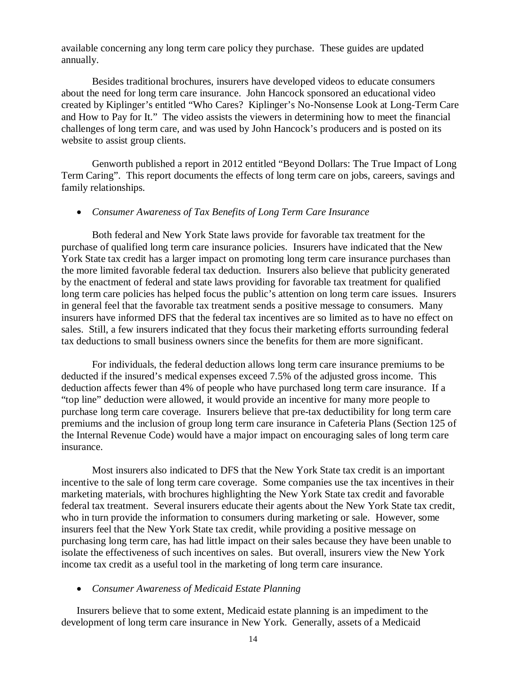available concerning any long term care policy they purchase. These guides are updated annually.

 Besides traditional brochures, insurers have developed videos to educate consumers about the need for long term care insurance. John Hancock sponsored an educational video created by Kiplinger's entitled "Who Cares? Kiplinger's No-Nonsense Look at Long-Term Care and How to Pay for It." The video assists the viewers in determining how to meet the financial challenges of long term care, and was used by John Hancock's producers and is posted on its website to assist group clients.

 Genworth published a report in 2012 entitled "Beyond Dollars: The True Impact of Long Term Caring". This report documents the effects of long term care on jobs, careers, savings and family relationships.

#### *Consumer Awareness of Tax Benefits of Long Term Care Insurance*

 Both federal and New York State laws provide for favorable tax treatment for the purchase of qualified long term care insurance policies. Insurers have indicated that the New York State tax credit has a larger impact on promoting long term care insurance purchases than the more limited favorable federal tax deduction. Insurers also believe that publicity generated by the enactment of federal and state laws providing for favorable tax treatment for qualified long term care policies has helped focus the public's attention on long term care issues. Insurers in general feel that the favorable tax treatment sends a positive message to consumers. Many insurers have informed DFS that the federal tax incentives are so limited as to have no effect on sales. Still, a few insurers indicated that they focus their marketing efforts surrounding federal tax deductions to small business owners since the benefits for them are more significant.

 For individuals, the federal deduction allows long term care insurance premiums to be deducted if the insured's medical expenses exceed 7.5% of the adjusted gross income. This deduction affects fewer than 4% of people who have purchased long term care insurance. If a "top line" deduction were allowed, it would provide an incentive for many more people to purchase long term care coverage. Insurers believe that pre-tax deductibility for long term care premiums and the inclusion of group long term care insurance in Cafeteria Plans (Section 125 of the Internal Revenue Code) would have a major impact on encouraging sales of long term care insurance.

 incentive to the sale of long term care coverage. Some companies use the tax incentives in their marketing materials, with brochures highlighting the New York State tax credit and favorable federal tax treatment. Several insurers educate their agents about the New York State tax credit, who in turn provide the information to consumers during marketing or sale. However, some insurers feel that the New York State tax credit, while providing a positive message on purchasing long term care, has had little impact on their sales because they have been unable to isolate the effectiveness of such incentives on sales. But overall, insurers view the New York income tax credit as a useful tool in the marketing of long term care insurance. Most insurers also indicated to DFS that the New York State tax credit is an important

#### *Consumer Awareness of Medicaid Estate Planning*

 Insurers believe that to some extent, Medicaid estate planning is an impediment to the development of long term care insurance in New York. Generally, assets of a Medicaid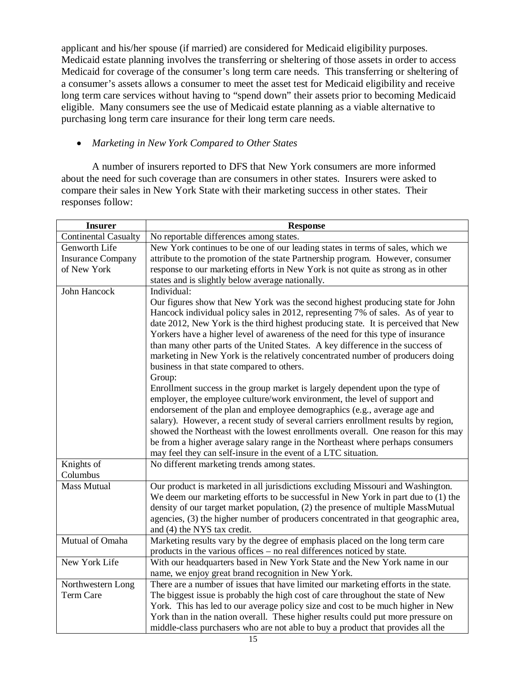applicant and his/her spouse (if married) are considered for Medicaid eligibility purposes. Medicaid estate planning involves the transferring or sheltering of those assets in order to access Medicaid for coverage of the consumer's long term care needs. This transferring or sheltering of a consumer's assets allows a consumer to meet the asset test for Medicaid eligibility and receive long term care services without having to "spend down" their assets prior to becoming Medicaid eligible. Many consumers see the use of Medicaid estate planning as a viable alternative to purchasing long term care insurance for their long term care needs.

# *Marketing in New York Compared to Other States*

 A number of insurers reported to DFS that New York consumers are more informed about the need for such coverage than are consumers in other states. Insurers were asked to compare their sales in New York State with their marketing success in other states. Their responses follow:

| <b>Insurer</b>              | <b>Response</b>                                                                                                                                                         |
|-----------------------------|-------------------------------------------------------------------------------------------------------------------------------------------------------------------------|
| <b>Continental Casualty</b> | No reportable differences among states.                                                                                                                                 |
| Genworth Life               | New York continues to be one of our leading states in terms of sales, which we                                                                                          |
| <b>Insurance Company</b>    | attribute to the promotion of the state Partnership program. However, consumer                                                                                          |
| of New York                 | response to our marketing efforts in New York is not quite as strong as in other                                                                                        |
|                             | states and is slightly below average nationally.                                                                                                                        |
| John Hancock                | Individual:                                                                                                                                                             |
|                             | Our figures show that New York was the second highest producing state for John                                                                                          |
|                             | Hancock individual policy sales in 2012, representing 7% of sales. As of year to                                                                                        |
|                             | date 2012, New York is the third highest producing state. It is perceived that New                                                                                      |
|                             | Yorkers have a higher level of awareness of the need for this type of insurance                                                                                         |
|                             | than many other parts of the United States. A key difference in the success of                                                                                          |
|                             | marketing in New York is the relatively concentrated number of producers doing                                                                                          |
|                             | business in that state compared to others.                                                                                                                              |
|                             | Group:                                                                                                                                                                  |
|                             | Enrollment success in the group market is largely dependent upon the type of                                                                                            |
|                             | employer, the employee culture/work environment, the level of support and                                                                                               |
|                             | endorsement of the plan and employee demographics (e.g., average age and                                                                                                |
|                             | salary). However, a recent study of several carriers enrollment results by region,<br>showed the Northeast with the lowest enrollments overall. One reason for this may |
|                             | be from a higher average salary range in the Northeast where perhaps consumers                                                                                          |
|                             | may feel they can self-insure in the event of a LTC situation.                                                                                                          |
| Knights of                  | No different marketing trends among states.                                                                                                                             |
| Columbus                    |                                                                                                                                                                         |
| <b>Mass Mutual</b>          | Our product is marketed in all jurisdictions excluding Missouri and Washington.                                                                                         |
|                             | We deem our marketing efforts to be successful in New York in part due to (1) the                                                                                       |
|                             | density of our target market population, (2) the presence of multiple MassMutual                                                                                        |
|                             | agencies, (3) the higher number of producers concentrated in that geographic area,                                                                                      |
|                             | and (4) the NYS tax credit.                                                                                                                                             |
| Mutual of Omaha             | Marketing results vary by the degree of emphasis placed on the long term care                                                                                           |
|                             | products in the various offices – no real differences noticed by state.                                                                                                 |
| New York Life               | With our headquarters based in New York State and the New York name in our                                                                                              |
|                             | name, we enjoy great brand recognition in New York.                                                                                                                     |
| Northwestern Long           | There are a number of issues that have limited our marketing efforts in the state.                                                                                      |
| <b>Term Care</b>            | The biggest issue is probably the high cost of care throughout the state of New                                                                                         |
|                             | York. This has led to our average policy size and cost to be much higher in New                                                                                         |
|                             | York than in the nation overall. These higher results could put more pressure on                                                                                        |
|                             | middle-class purchasers who are not able to buy a product that provides all the                                                                                         |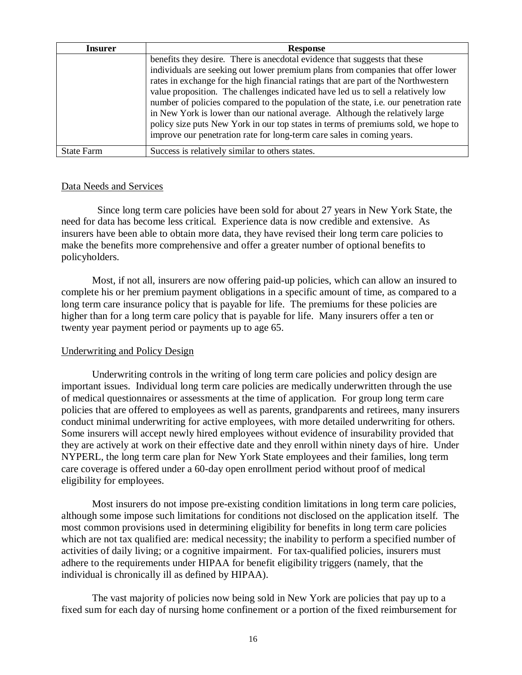| Insurer           | <b>Response</b>                                                                       |
|-------------------|---------------------------------------------------------------------------------------|
|                   | benefits they desire. There is anecdotal evidence that suggests that these            |
|                   | individuals are seeking out lower premium plans from companies that offer lower       |
|                   | rates in exchange for the high financial ratings that are part of the Northwestern    |
|                   | value proposition. The challenges indicated have led us to sell a relatively low      |
|                   | number of policies compared to the population of the state, i.e. our penetration rate |
|                   | in New York is lower than our national average. Although the relatively large         |
|                   | policy size puts New York in our top states in terms of premiums sold, we hope to     |
|                   | improve our penetration rate for long-term care sales in coming years.                |
|                   |                                                                                       |
| <b>State Farm</b> | Success is relatively similar to others states.                                       |

# Data Needs and Services

 need for data has become less critical. Experience data is now credible and extensive. As insurers have been able to obtain more data, they have revised their long term care policies to make the benefits more comprehensive and offer a greater number of optional benefits to Since long term care policies have been sold for about 27 years in New York State, the policyholders.

 Most, if not all, insurers are now offering paid-up policies, which can allow an insured to complete his or her premium payment obligations in a specific amount of time, as compared to a long term care insurance policy that is payable for life. The premiums for these policies are higher than for a long term care policy that is payable for life. Many insurers offer a ten or twenty year payment period or payments up to age 65.

# Underwriting and Policy Design

 Underwriting controls in the writing of long term care policies and policy design are important issues. Individual long term care policies are medically underwritten through the use of medical questionnaires or assessments at the time of application. For group long term care policies that are offered to employees as well as parents, grandparents and retirees, many insurers conduct minimal underwriting for active employees, with more detailed underwriting for others. Some insurers will accept newly hired employees without evidence of insurability provided that they are actively at work on their effective date and they enroll within ninety days of hire. Under NYPERL, the long term care plan for New York State employees and their families, long term care coverage is offered under a 60-day open enrollment period without proof of medical eligibility for employees.

 although some impose such limitations for conditions not disclosed on the application itself. The most common provisions used in determining eligibility for benefits in long term care policies which are not tax qualified are: medical necessity; the inability to perform a specified number of activities of daily living; or a cognitive impairment. For tax-qualified policies, insurers must adhere to the requirements under HIPAA for benefit eligibility triggers (namely, that the individual is chronically ill as defined by HIPAA). Most insurers do not impose pre-existing condition limitations in long term care policies,

 fixed sum for each day of nursing home confinement or a portion of the fixed reimbursement for The vast majority of policies now being sold in New York are policies that pay up to a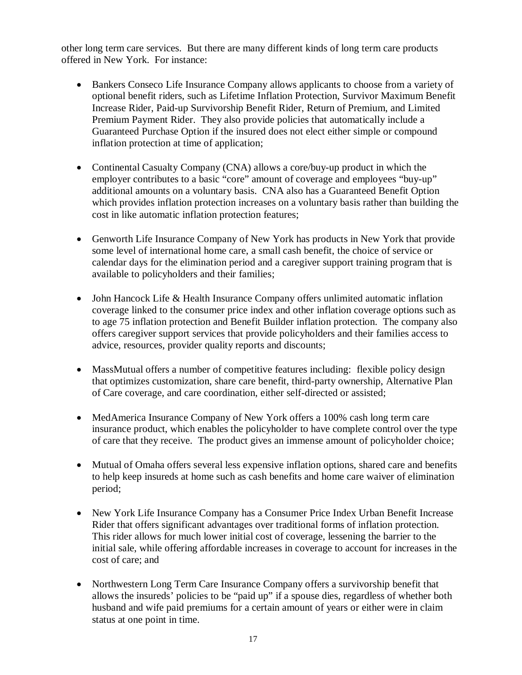other long term care services. But there are many different kinds of long term care products offered in New York. For instance:

- Bankers Conseco Life Insurance Company allows applicants to choose from a variety of optional benefit riders, such as Lifetime Inflation Protection, Survivor Maximum Benefit Increase Rider, Paid-up Survivorship Benefit Rider, Return of Premium, and Limited Premium Payment Rider. They also provide policies that automatically include a Guaranteed Purchase Option if the insured does not elect either simple or compound inflation protection at time of application;
- Continental Casualty Company (CNA) allows a core/buy-up product in which the employer contributes to a basic "core" amount of coverage and employees "buy-up" additional amounts on a voluntary basis. CNA also has a Guaranteed Benefit Option which provides inflation protection increases on a voluntary basis rather than building the cost in like automatic inflation protection features;
- Genworth Life Insurance Company of New York has products in New York that provide some level of international home care, a small cash benefit, the choice of service or calendar days for the elimination period and a caregiver support training program that is available to policyholders and their families;
- John Hancock Life & Health Insurance Company offers unlimited automatic inflation coverage linked to the consumer price index and other inflation coverage options such as to age 75 inflation protection and Benefit Builder inflation protection. The company also offers caregiver support services that provide policyholders and their families access to advice, resources, provider quality reports and discounts;
- MassMutual offers a number of competitive features including: flexible policy design that optimizes customization, share care benefit, third-party ownership, Alternative Plan of Care coverage, and care coordination, either self-directed or assisted;
- MedAmerica Insurance Company of New York offers a 100% cash long term care insurance product, which enables the policyholder to have complete control over the type of care that they receive. The product gives an immense amount of policyholder choice;
- Mutual of Omaha offers several less expensive inflation options, shared care and benefits to help keep insureds at home such as cash benefits and home care waiver of elimination period;
- New York Life Insurance Company has a Consumer Price Index Urban Benefit Increase Rider that offers significant advantages over traditional forms of inflation protection. This rider allows for much lower initial cost of coverage, lessening the barrier to the initial sale, while offering affordable increases in coverage to account for increases in the cost of care; and
- Northwestern Long Term Care Insurance Company offers a survivorship benefit that allows the insureds' policies to be "paid up" if a spouse dies, regardless of whether both husband and wife paid premiums for a certain amount of years or either were in claim status at one point in time.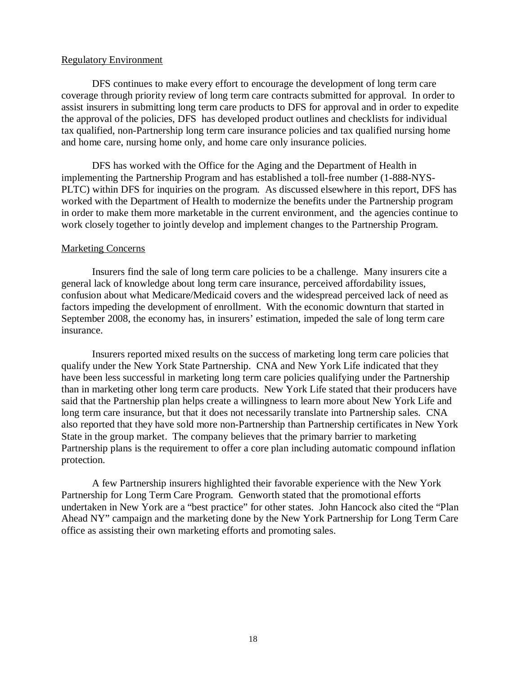#### Regulatory Environment

 coverage through priority review of long term care contracts submitted for approval. In order to assist insurers in submitting long term care products to DFS for approval and in order to expedite the approval of the policies, DFS has developed product outlines and checklists for individual tax qualified, non-Partnership long term care insurance policies and tax qualified nursing home and home care, nursing home only, and home care only insurance policies. DFS continues to make every effort to encourage the development of long term care

 DFS has worked with the Office for the Aging and the Department of Health in implementing the Partnership Program and has established a toll-free number (1-888-NYS- PLTC) within DFS for inquiries on the program. As discussed elsewhere in this report, DFS has worked with the Department of Health to modernize the benefits under the Partnership program in order to make them more marketable in the current environment, and the agencies continue to work closely together to jointly develop and implement changes to the Partnership Program.

#### Marketing Concerns

 Insurers find the sale of long term care policies to be a challenge. Many insurers cite a general lack of knowledge about long term care insurance, perceived affordability issues, confusion about what Medicare/Medicaid covers and the widespread perceived lack of need as factors impeding the development of enrollment. With the economic downturn that started in September 2008, the economy has, in insurers' estimation, impeded the sale of long term care insurance.

 insurance. Insurers reported mixed results on the success of marketing long term care policies that qualify under the New York State Partnership. CNA and New York Life indicated that they have been less successful in marketing long term care policies qualifying under the Partnership than in marketing other long term care products. New York Life stated that their producers have said that the Partnership plan helps create a willingness to learn more about New York Life and long term care insurance, but that it does not necessarily translate into Partnership sales. CNA also reported that they have sold more non-Partnership than Partnership certificates in New York State in the group market. The company believes that the primary barrier to marketing Partnership plans is the requirement to offer a core plan including automatic compound inflation protection.

 protection. A few Partnership insurers highlighted their favorable experience with the New York Partnership for Long Term Care Program. Genworth stated that the promotional efforts undertaken in New York are a "best practice" for other states. John Hancock also cited the "Plan Ahead NY" campaign and the marketing done by the New York Partnership for Long Term Care office as assisting their own marketing efforts and promoting sales.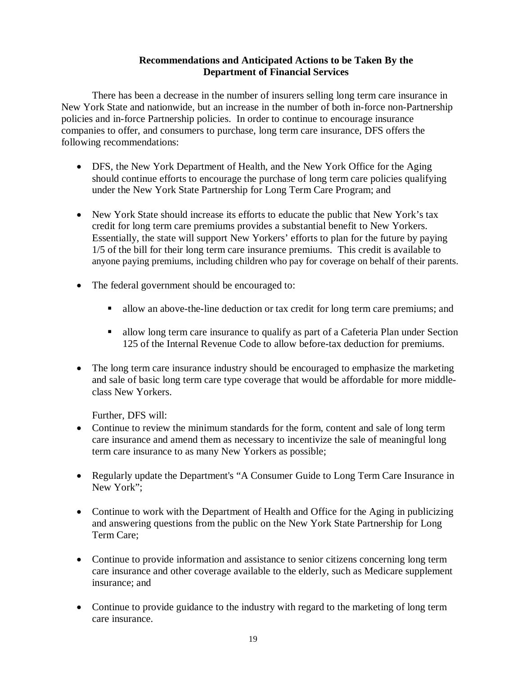# **Recommendations and Anticipated Actions to be Taken By the Department of Financial Services**

<span id="page-25-0"></span> There has been a decrease in the number of insurers selling long term care insurance in New York State and nationwide, but an increase in the number of both in-force non-Partnership policies and in-force Partnership policies. In order to continue to encourage insurance companies to offer, and consumers to purchase, long term care insurance, DFS offers the following recommendations:

- DFS, the New York Department of Health, and the New York Office for the Aging should continue efforts to encourage the purchase of long term care policies qualifying under the New York State Partnership for Long Term Care Program; and
- New York State should increase its efforts to educate the public that New York's tax credit for long term care premiums provides a substantial benefit to New Yorkers. Essentially, the state will support New Yorkers' efforts to plan for the future by paying 1/5 of the bill for their long term care insurance premiums. This credit is available to anyone paying premiums, including children who pay for coverage on behalf of their parents.
- The federal government should be encouraged to:
	- **allow an above-the-line deduction or tax credit for long term care premiums; and**
	- allow long term care insurance to qualify as part of a Cafeteria Plan under Section 125 of the Internal Revenue Code to allow before-tax deduction for premiums.
- The long term care insurance industry should be encouraged to emphasize the marketing and sale of basic long term care type coverage that would be affordable for more middleclass New Yorkers.

Further, DFS will:

- Continue to review the minimum standards for the form, content and sale of long term care insurance and amend them as necessary to incentivize the sale of meaningful long term care insurance to as many New Yorkers as possible;
- Regularly update the Department's "A Consumer Guide to Long Term Care Insurance in New York";
- Continue to work with the Department of Health and Office for the Aging in publicizing and answering questions from the public on the New York State Partnership for Long Term Care;
- Continue to provide information and assistance to senior citizens concerning long term care insurance and other coverage available to the elderly, such as Medicare supplement insurance; and
- Continue to provide guidance to the industry with regard to the marketing of long term care insurance.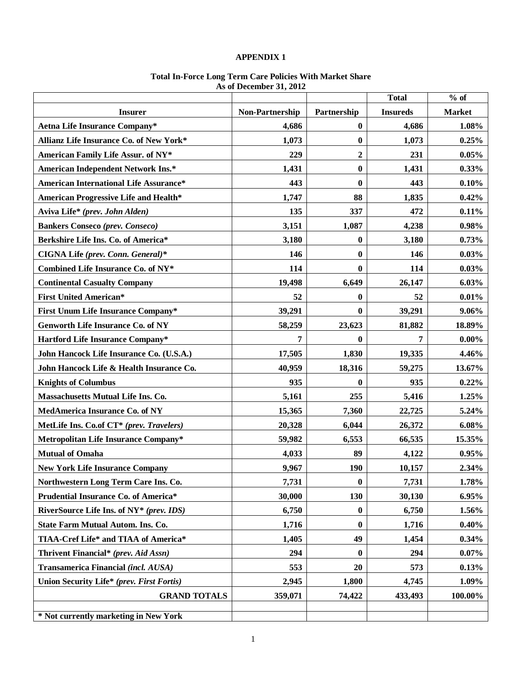#### **APPENDIX 1**

#### **Total In-Force Long Term Care Policies With Market Share As of December 31, 2012**

|                                               |                 |                  | <b>Total</b>    | $%$ of        |
|-----------------------------------------------|-----------------|------------------|-----------------|---------------|
| <b>Insurer</b>                                | Non-Partnership | Partnership      | <b>Insureds</b> | <b>Market</b> |
| <b>Aetna Life Insurance Company*</b>          | 4,686           | $\bf{0}$         | 4,686           | 1.08%         |
| Allianz Life Insurance Co. of New York*       | 1,073           | $\bf{0}$         | 1,073           | 0.25%         |
| American Family Life Assur. of NY*            | 229             | $\boldsymbol{2}$ | 231             | $0.05\%$      |
| <b>American Independent Network Ins.*</b>     | 1,431           | $\bf{0}$         | 1,431           | $0.33\%$      |
| <b>American International Life Assurance*</b> | 443             | $\bf{0}$         | 443             | 0.10%         |
| <b>American Progressive Life and Health*</b>  | 1,747           | 88               | 1,835           | $0.42\%$      |
| Aviva Life* (prev. John Alden)                | 135             | 337              | 472             | 0.11%         |
| <b>Bankers Conseco (prev. Conseco)</b>        | 3,151           | 1,087            | 4,238           | 0.98%         |
| Berkshire Life Ins. Co. of America*           | 3,180           | $\bf{0}$         | 3,180           | 0.73%         |
| CIGNA Life (prev. Conn. General)*             | 146             | $\bf{0}$         | 146             | 0.03%         |
| Combined Life Insurance Co. of NY*            | 114             | $\bf{0}$         | 114             | $0.03\%$      |
| <b>Continental Casualty Company</b>           | 19,498          | 6,649            | 26,147          | 6.03%         |
| <b>First United American*</b>                 | 52              | $\bf{0}$         | 52              | 0.01%         |
| <b>First Unum Life Insurance Company*</b>     | 39,291          | $\mathbf{0}$     | 39,291          | 9.06%         |
| <b>Genworth Life Insurance Co. of NY</b>      | 58,259          | 23,623           | 81,882          | 18.89%        |
| Hartford Life Insurance Company*              | 7               | $\bf{0}$         | 7               | $0.00\%$      |
| John Hancock Life Insurance Co. (U.S.A.)      | 17,505          | 1,830            | 19,335          | 4.46%         |
| John Hancock Life & Health Insurance Co.      | 40,959          | 18,316           | 59,275          | 13.67%        |
| <b>Knights of Columbus</b>                    | 935             | $\mathbf{0}$     | 935             | 0.22%         |
| Massachusetts Mutual Life Ins. Co.            | 5,161           | 255              | 5,416           | 1.25%         |
| MedAmerica Insurance Co. of NY                | 15,365          | 7,360            | 22,725          | 5.24%         |
| MetLife Ins. Co.of CT* (prev. Travelers)      | 20,328          | 6,044            | 26,372          | 6.08%         |
| Metropolitan Life Insurance Company*          | 59,982          | 6,553            | 66,535          | 15.35%        |
| <b>Mutual of Omaha</b>                        | 4,033           | 89               | 4,122           | 0.95%         |
| <b>New York Life Insurance Company</b>        | 9,967           | 190              | 10,157          | 2.34%         |
| Northwestern Long Term Care Ins. Co.          | 7,731           | $\bf{0}$         | 7,731           | 1.78%         |
| Prudential Insurance Co. of America*          | 30,000          | 130              | 30,130          | $6.95\%$      |
| RiverSource Life Ins. of NY* (prev. IDS)      | 6,750           | $\bf{0}$         | 6,750           | $1.56\%$      |
| <b>State Farm Mutual Autom. Ins. Co.</b>      | 1,716           | $\mathbf{0}$     | 1,716           | $0.40\%$      |
| TIAA-Cref Life* and TIAA of America*          | 1,405           | 49               | 1,454           | 0.34%         |
| Thrivent Financial* (prev. Aid Assn)          | 294             | $\bf{0}$         | 294             | $0.07\%$      |
| <b>Transamerica Financial (incl. AUSA)</b>    | 553             | <b>20</b>        | 573             | 0.13%         |
| Union Security Life* (prev. First Fortis)     | 2,945           | 1,800            | 4,745           | 1.09%         |
| <b>GRAND TOTALS</b>                           | 359,071         | 74,422           | 433,493         | 100.00%       |
|                                               |                 |                  |                 |               |
| * Not currently marketing in New York         |                 |                  |                 |               |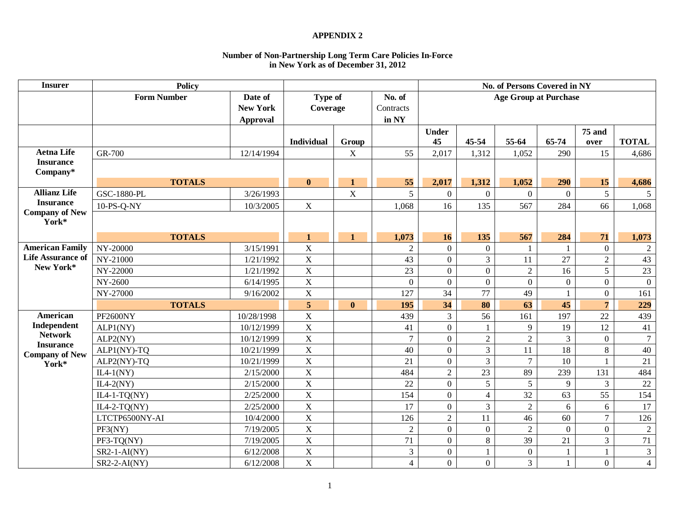#### **APPENDIX 2**

#### **Number of Non-Partnership Long Term Care Policies In-Force in New York as of December 31, 2012**

| <b>Insurer</b>                            | <b>Policy</b>      |                                               |                     |              |                              |                    |                  | No. of Persons Covered in NY |                |                       |                  |
|-------------------------------------------|--------------------|-----------------------------------------------|---------------------|--------------|------------------------------|--------------------|------------------|------------------------------|----------------|-----------------------|------------------|
|                                           | <b>Form Number</b> | Date of<br><b>New York</b><br><b>Approval</b> | Type of<br>Coverage |              | No. of<br>Contracts<br>in NY |                    |                  | <b>Age Group at Purchase</b> |                |                       |                  |
|                                           |                    |                                               | <b>Individual</b>   | Group        |                              | <b>Under</b><br>45 | 45-54            | 55-64                        | 65-74          | <b>75 and</b><br>over | <b>TOTAL</b>     |
| <b>Aetna Life</b>                         | GR-700             | 12/14/1994                                    |                     | X            | 55                           | 2,017              | 1,312            | 1,052                        | 290            | 15                    | 4,686            |
| <b>Insurance</b><br>Company*              |                    |                                               |                     |              |                              |                    |                  |                              |                |                       |                  |
|                                           | <b>TOTALS</b>      |                                               | $\mathbf{0}$        | $\mathbf{1}$ | 55                           | 2,017              | 1,312            | 1,052                        | 290            | 15                    | 4,686            |
| <b>Allianz Life</b>                       | <b>GSC-1880-PL</b> | 3/26/1993                                     |                     | $\mathbf X$  | 5                            | $\boldsymbol{0}$   | $\overline{0}$   | $\overline{0}$               | $\mathbf{0}$   | 5                     | $5\overline{)}$  |
| <b>Insurance</b><br><b>Company of New</b> | 10-PS-Q-NY         | 10/3/2005                                     | $\mathbf X$         |              | 1,068                        | 16                 | 135              | 567                          | 284            | 66                    | 1,068            |
| York*                                     |                    |                                               |                     |              |                              |                    |                  |                              |                |                       |                  |
|                                           | <b>TOTALS</b>      |                                               | $\mathbf{1}$        | $\mathbf{1}$ | 1,073                        | 16                 | 135              | 567                          | 284            | 71                    | 1,073            |
| <b>American Family</b>                    | NY-20000           | 3/15/1991                                     | $\bar{X}$           |              | $\overline{2}$               | $\overline{0}$     | $\boldsymbol{0}$ |                              | $\mathbf{1}$   | $\mathbf{0}$          | $\overline{2}$   |
| <b>Life Assurance of</b>                  | NY-21000           | 1/21/1992                                     | $\mathbf X$         |              | 43                           | $\overline{0}$     | $\overline{3}$   | 11                           | 27             | $\overline{2}$        | 43               |
| New York*                                 | NY-22000           | 1/21/1992                                     | $\mathbf X$         |              | 23                           | $\boldsymbol{0}$   | $\overline{0}$   | $\overline{2}$               | 16             | 5                     | 23               |
|                                           | NY-2600            | 6/14/1995                                     | $\bar{X}$           |              | $\overline{0}$               | $\overline{0}$     | $\overline{0}$   | $\overline{0}$               | $\mathbf{0}$   | $\overline{0}$        | $\boldsymbol{0}$ |
|                                           | NY-27000           | 9/16/2002                                     | $\mathbf X$         |              | 127                          | 34                 | 77               | 49                           |                | $\Omega$              | 161              |
|                                           | <b>TOTALS</b>      |                                               | 5                   | $\bf{0}$     | 195                          | 34                 | 80               | 63                           | 45             | $\overline{7}$        | 229              |
| American                                  | <b>PF2600NY</b>    | 10/28/1998                                    | $\bar{X}$           |              | 439                          | $\overline{3}$     | 56               | 161                          | 197            | 22                    | 439              |
| Independent                               | ALP1(NY)           | 10/12/1999                                    | $\mathbf X$         |              | 41                           | $\boldsymbol{0}$   | 1                | 9                            | 19             | 12                    | 41               |
| <b>Network</b><br><b>Insurance</b>        | ALP2(NY)           | 10/12/1999                                    | $\mathbf X$         |              | $\overline{7}$               | $\boldsymbol{0}$   | $\overline{2}$   | $\overline{2}$               | $\overline{3}$ | $\mathbf{0}$          | $7\phantom{.0}$  |
| <b>Company of New</b>                     | ALP1(NY)-TQ        | 10/21/1999                                    | $\mathbf X$         |              | 40                           | $\overline{0}$     | $\overline{3}$   | 11                           | 18             | 8                     | 40               |
| York*                                     | ALP2(NY)-TQ        | 10/21/1999                                    | $\mathbf X$         |              | 21                           | $\boldsymbol{0}$   | $\overline{3}$   | $\overline{7}$               | 10             |                       | 21               |
|                                           | $IL4-1(NY)$        | 2/15/2000                                     | $\mathbf X$         |              | 484                          | $\overline{2}$     | $\overline{23}$  | 89                           | 239            | 131                   | 484              |
|                                           | $IL4-2(NY)$        | 2/15/2000                                     | $\mathbf X$         |              | 22                           | $\overline{0}$     | 5                | 5                            | 9              | $\overline{3}$        | 22               |
|                                           | $IL4-1-TQ(NY)$     | 2/25/2000                                     | $\mathbf X$         |              | 154                          | $\boldsymbol{0}$   | $\overline{4}$   | 32                           | 63             | 55                    | 154              |
|                                           | $IL4-2-TO(NY)$     | 2/25/2000                                     | $\mathbf X$         |              | 17                           | $\overline{0}$     | $\overline{3}$   | $\overline{2}$               | 6              | 6                     | 17               |
|                                           | LTCTP6500NY-AI     | 10/4/2000                                     | $\mathbf X$         |              | 126                          | $\sqrt{2}$         | 11               | 46                           | 60             | $\overline{7}$        | 126              |
|                                           | PF3(NY)            | 7/19/2005                                     | $\mathbf X$         |              | $\overline{2}$               | $\overline{0}$     | $\boldsymbol{0}$ | $\overline{2}$               | $\mathbf{0}$   | $\overline{0}$        | $\sqrt{2}$       |
|                                           | $PF3-TQ(NY)$       | 7/19/2005                                     | $\mathbf X$         |              | 71                           | $\overline{0}$     | 8                | 39                           | 21             | $\overline{3}$        | 71               |
|                                           | $SR2-1-AI(NY)$     | 6/12/2008                                     | $\mathbf X$         |              | 3                            | $\mathbf{0}$       | 1                | $\boldsymbol{0}$             | $\mathbf{1}$   |                       | $\mathfrak{Z}$   |
|                                           | $SR2-2-AI(NY)$     | 6/12/2008                                     | $\mathbf X$         |              | 4                            | $\overline{0}$     | $\overline{0}$   | $\mathfrak{Z}$               | 1              | $\Omega$              | $\overline{4}$   |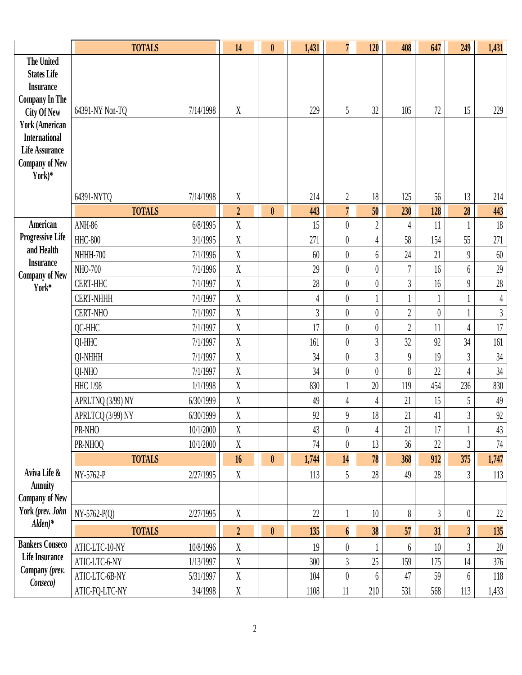|                                                                                                                                     | <b>TOTALS</b>     |           | 14               | $\pmb{0}$        | 1,431          | $\overline{7}$   | 120              | 408                        | 647            | 249                     | 1,431          |
|-------------------------------------------------------------------------------------------------------------------------------------|-------------------|-----------|------------------|------------------|----------------|------------------|------------------|----------------------------|----------------|-------------------------|----------------|
| <b>The United</b><br><b>States Life</b><br><b>Insurance</b><br><b>Company In The</b><br><b>City Of New</b><br><b>York (American</b> | 64391-NY Non-TQ   | 7/14/1998 | X                |                  | 229            | 5                | 32               | 105                        | 72             | 15                      | 229            |
| <b>International</b><br><b>Life Assurance</b><br><b>Company of New</b><br>York)*                                                    | 64391-NYTQ        | 7/14/1998 | $\mathbf X$      |                  | 214            | $\boldsymbol{2}$ | 18               | 125                        | 56             | 13                      | 214            |
|                                                                                                                                     | <b>TOTALS</b>     |           | $\boldsymbol{2}$ | $\mathbf{0}$     | 443            | $\overline{7}$   | 50               | 230                        | 128            | 28                      | 443            |
| American                                                                                                                            | <b>ANH-86</b>     | 6/8/1995  | X                |                  | 15             | $\overline{0}$   | $\overline{2}$   | 4                          | 11             |                         | $18\,$         |
| <b>Progressive Life</b>                                                                                                             | <b>HHC-800</b>    | 3/1/1995  | $\mathbf X$      |                  | 271            | $\boldsymbol{0}$ | 4                | 58                         | 154            | 55                      | 271            |
| and Health                                                                                                                          | <b>NHHH-700</b>   | 7/1/1996  | $\mathbf X$      |                  | 60             | $\overline{0}$   | $6\,$            | 24                         | 21             | $\overline{9}$          | 60             |
| <b>Insurance</b><br><b>Company of New</b>                                                                                           | NHO-700           | 7/1/1996  | $\mathbf X$      |                  | 29             | $\boldsymbol{0}$ | $\theta$         | 7                          | 16             | 6                       | 29             |
| York*                                                                                                                               | <b>CERT-HHC</b>   | 7/1/1997  | X                |                  | 28             | $\boldsymbol{0}$ | $\boldsymbol{0}$ | $\overline{3}$             | 16             | $\overline{9}$          | $28\,$         |
|                                                                                                                                     | <b>CERT-NHHH</b>  | 7/1/1997  | X                |                  | 4              | $\boldsymbol{0}$ |                  |                            | $\mathbf{1}$   |                         | $\overline{4}$ |
|                                                                                                                                     | <b>CERT-NHO</b>   | 7/1/1997  | $\mathbf X$      |                  | $\overline{3}$ | $\boldsymbol{0}$ | $\boldsymbol{0}$ | $\sqrt{2}$                 | $\theta$       |                         | $\mathfrak{Z}$ |
|                                                                                                                                     | QC-HHC            | 7/1/1997  | $\boldsymbol{X}$ |                  | 17             | $\boldsymbol{0}$ | $\boldsymbol{0}$ | $\overline{2}$             | 11             | 4                       | 17             |
|                                                                                                                                     | QI-HHC            | 7/1/1997  | $\mathbf X$      |                  | 161            | $\boldsymbol{0}$ | $\overline{3}$   | 32                         | 92             | 34                      | 161            |
|                                                                                                                                     | QI-NHHH           | 7/1/1997  | $\mathbf X$      |                  | 34             | $\overline{0}$   | 3                | $\boldsymbol{9}$           | 19             | $\overline{3}$          | 34             |
|                                                                                                                                     | QI-NHO            | 7/1/1997  | $\mathbf X$      |                  | 34             | $\boldsymbol{0}$ | $\theta$         | 8                          | 22             | 4                       | 34             |
|                                                                                                                                     | <b>HHC 1/98</b>   | 1/1/1998  | X                |                  | 830            | $\mathbf{1}$     | 20               | 119                        | 454            | 236                     | 830            |
|                                                                                                                                     | APRLTNQ (3/99) NY | 6/30/1999 | $\mathbf X$      |                  | 49             | 4                | 4                | 21                         | 15             | 5                       | 49             |
|                                                                                                                                     | APRLTCQ (3/99) NY | 6/30/1999 | X                |                  | 92             | 9                | 18               | 21                         | 41             | $\overline{3}$          | 92             |
|                                                                                                                                     | PR-NHO            | 10/1/2000 | X                |                  | 43             | $\boldsymbol{0}$ | $\overline{4}$   | 21                         | 17             |                         | 43             |
|                                                                                                                                     | PR-NHOQ           | 10/1/2000 | $\mathbf X$      |                  | 74             | $\boldsymbol{0}$ | 13               | 36                         | $22\,$         | $\overline{3}$          | $74\,$         |
|                                                                                                                                     | <b>TOTALS</b>     |           | 16               | $\boldsymbol{0}$ | 1,744          | 14               | 78               | 368                        | 912            | 375                     | 1,747          |
| Aviva Life &<br><b>Annuity</b>                                                                                                      | NY-5762-P         | 2/27/1995 | X                |                  | 113            | 5                | 28               | 49                         | 28             | $\mathfrak{Z}$          | 113            |
| <b>Company of New</b>                                                                                                               |                   |           |                  |                  |                |                  |                  |                            |                |                         |                |
| York (prev. John                                                                                                                    | $NY-5762-P(Q)$    | 2/27/1995 | X                |                  | 22             | 1                | 10               | $\boldsymbol{\mathcal{S}}$ | $\mathfrak{Z}$ | $\boldsymbol{0}$        | $22\,$         |
| $Alden)*$                                                                                                                           | <b>TOTALS</b>     |           | $\overline{2}$   | $\pmb{0}$        | 135            | $\boldsymbol{6}$ | 38               | 57                         | 31             | $\overline{\mathbf{3}}$ | 135            |
| <b>Bankers Conseco</b>                                                                                                              | ATIC-LTC-10-NY    | 10/8/1996 | $\mathbf X$      |                  | 19             | $\boldsymbol{0}$ |                  | 6                          | 10             | $\mathfrak{Z}$          | $20\,$         |
| <b>Life Insurance</b>                                                                                                               | ATIC-LTC-6-NY     | 1/13/1997 | $\mathbf X$      |                  | 300            | $\overline{3}$   | 25               | 159                        | 175            | 14                      | 376            |
| Company (prev.                                                                                                                      | ATIC-LTC-6B-NY    | 5/31/1997 | $\mathbf X$      |                  | 104            | $\overline{0}$   | 6                | 47                         | 59             | 6                       | $118\,$        |
| Conseco)                                                                                                                            | ATIC-FQ-LTC-NY    | 3/4/1998  | $\mathbf X$      |                  | 1108           | $11\,$           | 210              | 531                        | 568            | 113                     | 1,433          |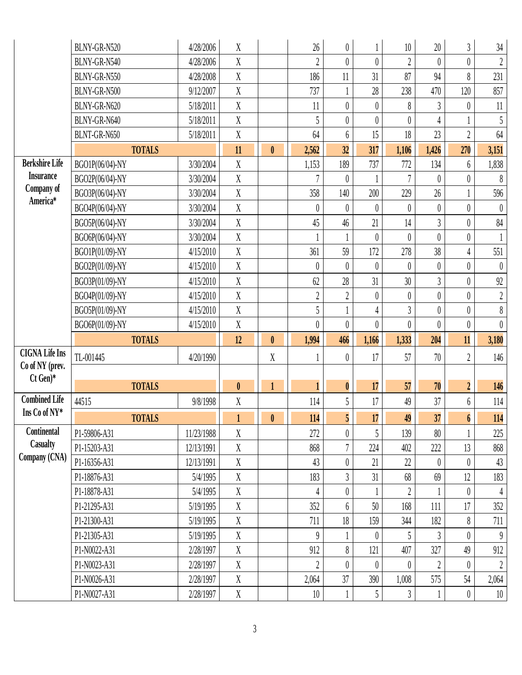|                       | BLNY-GR-N520    | 4/28/2006  | $\boldsymbol{X}$ |                  | 26               | $\boldsymbol{0}$ |          | $10\,$           | $20\,$           | $\mathfrak{Z}$   | $34\,$                     |
|-----------------------|-----------------|------------|------------------|------------------|------------------|------------------|----------|------------------|------------------|------------------|----------------------------|
|                       | BLNY-GR-N540    | 4/28/2006  | $\mathbf X$      |                  | $\overline{2}$   | $\theta$         | $\theta$ | $\overline{2}$   | $\theta$         | $\boldsymbol{0}$ | $\sqrt{2}$                 |
|                       | BLNY-GR-N550    | 4/28/2008  | $\mathbf X$      |                  | 186              | 11               | 31       | 87               | 94               | 8                | 231                        |
|                       | BLNY-GR-N500    | 9/12/2007  | $\mathbf X$      |                  | 737              | $\mathbf{1}$     | 28       | 238              | 470              | 120              | 857                        |
|                       | BLNY-GR-N620    | 5/18/2011  | $\mathbf X$      |                  | 11               | $\boldsymbol{0}$ | $\theta$ | 8                | 3                | $\theta$         | $11\,$                     |
|                       | BLNY-GR-N640    | 5/18/2011  | $\mathbf X$      |                  | 5                | $\boldsymbol{0}$ | $\theta$ | $\boldsymbol{0}$ | 4                |                  | 5                          |
|                       | BLNT-GR-N650    | 5/18/2011  | $\mathbf X$      |                  | 64               | $6\phantom{.}6$  | 15       | 18               | 23               | $\overline{2}$   | 64                         |
|                       | <b>TOTALS</b>   |            | 11               | $\mathbf{0}$     | 2,562            | 32               | 317      | 1,106            | 1,426            | 270              | 3,151                      |
| <b>Berkshire Life</b> | BGO1P(06/04)-NY | 3/30/2004  | $\mathbf X$      |                  | 1,153            | 189              | 737      | 772              | 134              | 6                | 1,838                      |
| <b>Insurance</b>      | BGO2P(06/04)-NY | 3/30/2004  | $\mathbf X$      |                  |                  | $\theta$         |          | $\overline{7}$   | $\theta$         | $\boldsymbol{0}$ | $\,$ $\,$                  |
| Company of            | BGO3P(06/04)-NY | 3/30/2004  | $\mathbf X$      |                  | 358              | 140              | 200      | 229              | 26               |                  | 596                        |
| America*              | BGO4P(06/04)-NY | 3/30/2004  | $\mathbf X$      |                  | $\pmb{0}$        | $\theta$         | $\theta$ | 0                | $\theta$         | $\theta$         | $\boldsymbol{0}$           |
|                       | BGO5P(06/04)-NY | 3/30/2004  | $\mathbf X$      |                  | 45               | 46               | 21       | 14               | $\overline{3}$   | $\theta$         | 84                         |
|                       | BGO6P(06/04)-NY | 3/30/2004  | $\mathbf X$      |                  |                  |                  | $\theta$ | $\theta$         | $\theta$         | $\boldsymbol{0}$ |                            |
|                       | BGO1P(01/09)-NY | 4/15/2010  | $\mathbf X$      |                  | 361              | 59               | 172      | 278              | 38               | $\overline{4}$   | 551                        |
|                       | BGO2P(01/09)-NY | 4/15/2010  | $\mathbf X$      |                  | $\boldsymbol{0}$ | $\theta$         | $\theta$ | $\boldsymbol{0}$ | $\boldsymbol{0}$ | $\boldsymbol{0}$ | $\boldsymbol{0}$           |
|                       | BGO3P(01/09)-NY | 4/15/2010  | $\mathbf X$      |                  | 62               | 28               | 31       | 30               | $\overline{3}$   | $\boldsymbol{0}$ | $92\,$                     |
|                       | BGO4P(01/09)-NY | 4/15/2010  | $\boldsymbol{X}$ |                  | $\overline{2}$   | $\boldsymbol{2}$ | $\theta$ | $\boldsymbol{0}$ | $\boldsymbol{0}$ | $\boldsymbol{0}$ | $\sqrt{2}$                 |
|                       | BGO5P(01/09)-NY | 4/15/2010  | $\mathbf X$      |                  | 5                |                  | 4        | $\overline{3}$   | $\boldsymbol{0}$ | $\boldsymbol{0}$ | $\boldsymbol{\mathcal{S}}$ |
|                       | BGO6P(01/09)-NY | 4/15/2010  | $\mathbf X$      |                  | $\boldsymbol{0}$ | $\theta$         | $\theta$ | $\overline{0}$   | $\theta$         | $\boldsymbol{0}$ | $\boldsymbol{0}$           |
|                       |                 |            |                  |                  |                  |                  |          |                  |                  |                  |                            |
|                       | <b>TOTALS</b>   |            | 12               | $\boldsymbol{0}$ | 1,994            | 466              | 1,166    | 1,333            | 204              | 11               | 3,180                      |
| <b>CIGNA Life Ins</b> | TL-001445       | 4/20/1990  |                  | X                |                  | $\theta$         | 17       | 57               | $70\,$           | $\overline{2}$   | 146                        |
| Co of NY (prev.       |                 |            |                  |                  |                  |                  |          |                  |                  |                  |                            |
| $Ct$ Gen)*            | <b>TOTALS</b>   |            | $\mathbf{0}$     | $\mathbf{1}$     | $\mathbf{1}$     | $\boldsymbol{0}$ | 17       | 57               | 70               | $\boldsymbol{2}$ | 146                        |
| <b>Combined Life</b>  | 44515           | 9/8/1998   | $\mathbf X$      |                  | 114              | 5                | 17       | 49               | 37               | 6                | $114\,$                    |
| Ins Co of NY*         | <b>TOTALS</b>   |            | $\mathbf{1}$     | $\pmb{0}$        | 114              | $5\overline{)}$  | 17       | 49               | 37               | $\boldsymbol{6}$ |                            |
| Continental           | P1-59806-A31    | 11/23/1988 | X                |                  | 272              | $\theta$         | 5        | 139              | 80               |                  | 114<br>225                 |
| Casualty              | P1-15203-A31    | 12/13/1991 | $\mathbf X$      |                  | 868              | $\overline{7}$   | 224      | 402              | 222              | 13               | 868                        |
| Company (CNA)         | P1-16356-A31    | 12/13/1991 | X                |                  | 43               | $\overline{0}$   | 21       | 22               | $\theta$         | $\theta$         | 43                         |
|                       | P1-18876-A31    | 5/4/1995   | X                |                  | 183              | $\overline{3}$   | 31       | 68               | 69               | 12               | 183                        |
|                       | P1-18878-A31    | 5/4/1995   | X                |                  | 4                | $\theta$         |          | $\sqrt{2}$       |                  | $\boldsymbol{0}$ | $\overline{4}$             |
|                       | P1-21295-A31    | 5/19/1995  | X                |                  | 352              | 6                | 50       | 168              | 111              | 17               | 352                        |
|                       | P1-21300-A31    | 5/19/1995  | $\boldsymbol{X}$ |                  | 711              | 18               | 159      | 344              | 182              | 8                | 711                        |
|                       | P1-21305-A31    | 5/19/1995  | X                |                  | $\theta$         |                  | $\theta$ | 5                | 3                | $\theta$         | $\theta$                   |
|                       | P1-N0022-A31    | 2/28/1997  | X                |                  | 912              | 8                | 121      | 407              | 327              | 49               | 912                        |
|                       | P1-N0023-A31    | 2/28/1997  | X                |                  | $\overline{2}$   | $\theta$         | $\theta$ | 0                | $\overline{2}$   | $\boldsymbol{0}$ | $\sqrt{2}$                 |
|                       | P1-N0026-A31    | 2/28/1997  | X                |                  | 2,064            | 37               | 390      | 1,008            | 575              | 54               | 2,064                      |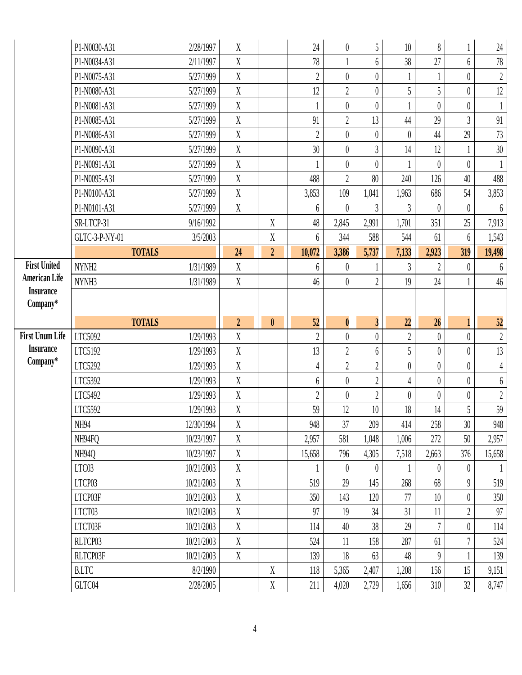|                              | P1-N0030-A31      | 2/28/1997  | $\boldsymbol{X}$ |                            | 24             | $\overline{0}$   | 5                       | $10\,$           | 8              |                  | $24\,$           |
|------------------------------|-------------------|------------|------------------|----------------------------|----------------|------------------|-------------------------|------------------|----------------|------------------|------------------|
|                              | P1-N0034-A31      | 2/11/1997  | $\mathbf{X}$     |                            | 78             | $\mathbf{1}$     | 6                       | 38               | 27             | $6\phantom{.0}$  | $78\,$           |
|                              | P1-N0075-A31      | 5/27/1999  | X                |                            | $\overline{2}$ | $\theta$         | $\theta$                |                  |                | $\boldsymbol{0}$ | $\sqrt{2}$       |
|                              | P1-N0080-A31      | 5/27/1999  | $\boldsymbol{X}$ |                            | 12             | $\overline{2}$   | $\theta$                | 5                | 5              | $\boldsymbol{0}$ | 12               |
|                              | P1-N0081-A31      | 5/27/1999  | $\mathbf X$      |                            |                | $\theta$         | $\theta$                |                  | $\theta$       | $\theta$         | $\mathbf{1}$     |
|                              | P1-N0085-A31      | 5/27/1999  | $\mathbf X$      |                            | 91             | $\overline{2}$   | 13                      | 44               | 29             | $\overline{3}$   | $91\,$           |
|                              | P1-N0086-A31      | 5/27/1999  | X                |                            | $\overline{2}$ | $\theta$         | $\theta$                | $\boldsymbol{0}$ | 44             | 29               | $73\,$           |
|                              | P1-N0090-A31      | 5/27/1999  | X                |                            | 30             | $\overline{0}$   | $\overline{3}$          | 14               | 12             |                  | $30\,$           |
|                              | P1-N0091-A31      | 5/27/1999  | $\mathbf X$      |                            |                | $\overline{0}$   | $\theta$                | 1                | $\theta$       | $\theta$         | $\mathbf{1}$     |
|                              | P1-N0095-A31      | 5/27/1999  | $\mathbf X$      |                            | 488            | $\overline{2}$   | 80                      | 240              | 126            | 40               | 488              |
|                              | P1-N0100-A31      | 5/27/1999  | $\mathbf X$      |                            | 3,853          | 109              | 1,041                   | 1,963            | 686            | 54               | 3,853            |
|                              | P1-N0101-A31      | 5/27/1999  | $\mathbf X$      |                            | 6              | $\theta$         | $\mathfrak{Z}$          | 3                | $\theta$       | $\theta$         | 6                |
|                              | SR-LTCP-31        | 9/16/1992  |                  | $\mathbf X$                | 48             | 2,845            | 2,991                   | 1,701            | 351            | 25               | 7,913            |
|                              | GLTC-3-P-NY-01    | 3/5/2003   |                  | $\mathbf X$                | 6              | 344              | 588                     | 544              | 61             | 6                | 1,543            |
|                              | <b>TOTALS</b>     |            | 24               | $\boldsymbol{2}$           | 10,072         | 3,386            | 5,737                   | 7,133            | 2,923          | 319              | 19,498           |
| <b>First United</b>          | NYNH <sub>2</sub> | 1/31/1989  | $\mathbf X$      |                            | 6              | $\overline{0}$   |                         | $\mathfrak{Z}$   | $\overline{2}$ | $\boldsymbol{0}$ | $6\phantom{.}6$  |
| <b>American Life</b>         | NYNH3             | 1/31/1989  | $\mathbf X$      |                            | 46             | $\overline{0}$   | $\overline{2}$          | 19               | 24             |                  | $46\,$           |
| <b>Insurance</b><br>Company* |                   |            |                  |                            |                |                  |                         |                  |                |                  |                  |
|                              |                   |            |                  |                            |                |                  |                         |                  |                |                  |                  |
|                              |                   |            |                  |                            |                |                  |                         |                  |                |                  |                  |
|                              | <b>TOTALS</b>     |            | $\overline{2}$   | $\mathbf{0}$               | 52             | $\boldsymbol{0}$ | $\overline{\mathbf{3}}$ | 22               | 26             | $\mathbf{1}$     | 52               |
| <b>First Unum Life</b>       | LTC5092           | 1/29/1993  | $\mathbf X$      |                            | $\overline{2}$ | $\theta$         | $\overline{0}$          | $\overline{2}$   | $\theta$       | $\overline{0}$   | $\sqrt{2}$       |
| <b>Insurance</b>             | LTC5192           | 1/29/1993  | $\mathbf X$      |                            | 13             | $\overline{2}$   | 6                       | 5                | $\theta$       | $\boldsymbol{0}$ | $13$             |
| Company*                     | LTC5292           | 1/29/1993  | $\mathbf X$      |                            | $\overline{4}$ | $\overline{2}$   | $\overline{2}$          | $\boldsymbol{0}$ | $\theta$       | $\boldsymbol{0}$ | $\sqrt{4}$       |
|                              | LTC5392           | 1/29/1993  | $\mathbf X$      |                            | $6\,$          | $\boldsymbol{0}$ | $\overline{2}$          | $\overline{4}$   | $\theta$       | $\boldsymbol{0}$ | $\boldsymbol{6}$ |
|                              | LTC5492           | 1/29/1993  | $\mathbf X$      |                            | $\overline{2}$ | $\theta$         | $\overline{2}$          | $\boldsymbol{0}$ | $\theta$       | $\boldsymbol{0}$ | $\sqrt{2}$       |
|                              | LTC5592           | 1/29/1993  | $\mathbf X$      |                            | 59             | 12               | $10\,$                  | $18\,$           | 14             | 5                | 59               |
|                              | NH94              | 12/30/1994 | $\mathbf X$      |                            | 948            | 37               | 209                     | 414              | 258            | 30 <sup>°</sup>  | 948              |
|                              | NH94FQ            | 10/23/1997 | X                |                            | 2,957          | 581              | 1,048                   | 1,006            | 272            | 50               | 2,957            |
|                              | NH940             | 10/23/1997 | X                |                            | 15,658         | 796              | 4,305                   | 7,518            | 2,663          | 376              | 15,658           |
|                              | LTC03             | 10/21/2003 | $\mathbf X$      |                            |                | $\theta$         | $\theta$                |                  | $\theta$       | $\theta$         |                  |
|                              | LTCP03            | 10/21/2003 | $\mathbf X$      |                            | 519            | 29               | 145                     | 268              | 68             | $\theta$         | 519              |
|                              | LTCP03F           | 10/21/2003 | X                |                            | 350            | 143              | 120                     | 77               | 10             | $\boldsymbol{0}$ | 350              |
|                              | LTCT03            | 10/21/2003 | $\mathbf X$      |                            | 97             | 19               | 34                      | 31               | 11             | $\boldsymbol{2}$ | 97               |
|                              | LTCT03F           | 10/21/2003 | $\mathbf X$      |                            | 114            | 40               | 38                      | 29               | $\overline{7}$ | $\boldsymbol{0}$ | 114              |
|                              | RLTCP03           | 10/21/2003 | X                |                            | 524            | 11               | 158                     | 287              | 61             | 7                | 524              |
|                              | RLTCP03F          | 10/21/2003 | X                |                            | 139            | 18               | 63                      | 48               | 9              |                  | 139              |
|                              | <b>B.LTC</b>      | 8/2/1990   |                  | $\mathbf X$<br>$\mathbf X$ | 118            | 5,365            | 2,407                   | 1,208            | 156            | 15<br>32         | 9,151            |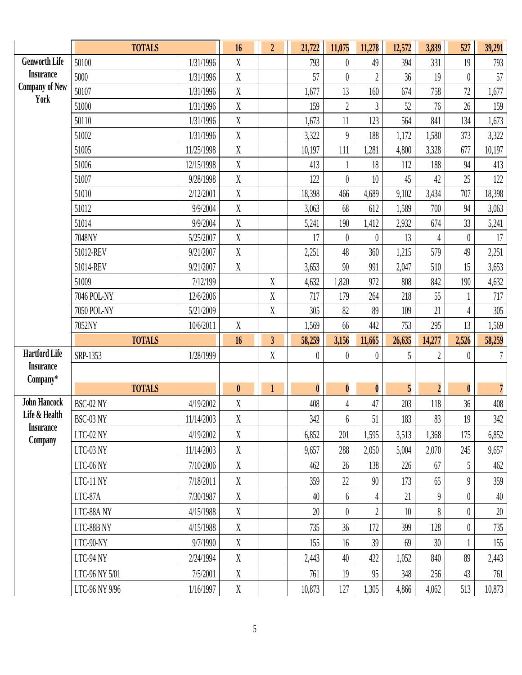|                                          | <b>TOTALS</b>                    |                       | 16               | $\overline{2}$          | 21,722           | 11,075           | 11,278         | 12,572       | 3,839          | 527              | 39,291         |
|------------------------------------------|----------------------------------|-----------------------|------------------|-------------------------|------------------|------------------|----------------|--------------|----------------|------------------|----------------|
| <b>Genworth Life</b>                     | 50100                            | 1/31/1996             | $\mathbf X$      |                         | 793              | $\boldsymbol{0}$ | 49             | 394          | 331            | 19               | 793            |
| <b>Insurance</b>                         | 5000                             | 1/31/1996             | $\mathbf X$      |                         | 57               | $\theta$         | $\overline{2}$ | 36           | 19             | $\theta$         | $57\,$         |
| <b>Company of New</b><br>York            | 50107                            | 1/31/1996             | $\mathbf X$      |                         | 1,677            | 13               | 160            | 674          | 758            | 72               | 1,677          |
|                                          | 51000                            | 1/31/1996             | $\rm X$          |                         | 159              | $\overline{2}$   | 3              | 52           | 76             | 26               | 159            |
|                                          | 50110                            | 1/31/1996             | $\mathbf X$      |                         | 1,673            | 11               | 123            | 564          | 841            | 134              | 1,673          |
|                                          | 51002                            | 1/31/1996             | $\mathbf X$      |                         | 3,322            | $\boldsymbol{9}$ | 188            | 1,172        | 1,580          | 373              | 3,322          |
|                                          | 51005                            | 11/25/1998            | $\mathbf X$      |                         | 10,197           | 111              | 1,281          | 4,800        | 3,328          | 677              | 10,197         |
|                                          | 51006                            | 12/15/1998            | $\mathbf X$      |                         | 413              | $\mathbf{1}$     | 18             | 112          | 188            | 94               | 413            |
|                                          | 51007                            | 9/28/1998             | $\mathbf X$      |                         | 122              | $\theta$         | 10             | 45           | 42             | 25               | $122\,$        |
|                                          | 51010                            | 2/12/2001             | $\mathbf X$      |                         | 18,398           | 466              | 4,689          | 9,102        | 3,434          | 707              | 18,398         |
|                                          | 51012                            | 9/9/2004              | $\mathbf X$      |                         | 3,063            | 68               | 612            | 1,589        | 700            | 94               | 3,063          |
|                                          | 51014                            | 9/9/2004              | $\mathbf X$      |                         | 5,241            | 190              | 1,412          | 2,932        | 674            | 33               | 5,241          |
|                                          | 7048NY                           | 5/25/2007             | $\mathbf X$      |                         | 17               | $\theta$         | $\theta$       | 13           | 4              | $\theta$         | 17             |
|                                          | 51012-REV                        | 9/21/2007             | $\mathbf X$      |                         | 2,251            | 48               | 360            | 1,215        | 579            | 49               | 2,251          |
|                                          | 51014-REV                        | 9/21/2007             | $\mathbf X$      |                         | 3,653            | $90\,$           | 991            | 2,047        | 510            | 15               | 3,653          |
|                                          | 51009                            | 7/12/199              |                  | $\boldsymbol{X}$        | 4,632            | 1,820            | 972            | 808          | 842            | 190              | 4,632          |
|                                          | 7046 POL-NY                      | 12/6/2006             |                  | $\mathbf X$             | 717              | 179              | 264            | 218          | 55             |                  | 717            |
|                                          | 7050 POL-NY                      | 5/21/2009             |                  | $\mathbf X$             | 305              | 82               | 89             | 109          | 21             | 4                | $305$          |
|                                          | 7052NY                           | 10/6/2011             | $\mathbf X$      |                         | 1,569            | 66               | 442            | 753          | 295            | 13               | 1,569          |
|                                          | <b>TOTALS</b>                    |                       | 16               | $\overline{\mathbf{3}}$ | 58,259           | 3,156            | 11,665         | 26,635       | 14,277         | 2,526            | 58,259         |
| <b>Hartford Life</b><br><b>Insurance</b> | SRP-1353                         | 1/28/1999             |                  | $\mathbf X$             | $\boldsymbol{0}$ | $\theta$         | $\theta$       | 5            | $\overline{2}$ | $\boldsymbol{0}$ | $7\phantom{.}$ |
| Company*                                 |                                  |                       |                  |                         |                  |                  |                |              |                |                  |                |
|                                          | <b>TOTALS</b>                    |                       | $\mathbf{0}$     | $\mathbf{1}$            | $\boldsymbol{0}$ | $\boldsymbol{0}$ | $\pmb{0}$      | 5            | $\overline{2}$ | $\boldsymbol{0}$ | $\sqrt{7}$     |
| <b>John Hancock</b>                      | BSC-02 NY                        | 4/19/2002             | $\mathbf X$      |                         | 408              | 4                | 47             | $203$        | 118            | 36               | 408            |
| Life & Health                            | BSC-03 NY                        | 11/14/2003            | $\mathbf X$      |                         | 342              | $6\phantom{.0}$  | 51             | 183          | 83             | 19               | $342\,$        |
| <b>Insurance</b><br>Company              | LTC-02 NY                        | 4/19/2002             | X                |                         | 6,852            | 201              | 1,595          | 3,513        | 1,368          | 175              | 6,852          |
|                                          | LTC-03 NY                        | 11/14/2003            | $\boldsymbol{X}$ |                         | 9,657            | 288              | 2,050          | 5,004        | 2,070          | 245              | 9,657          |
|                                          | LTC-06 NY                        | 7/10/2006             | X                |                         | 462              | 26               | 138            | 226          | 67             | 5                | 462            |
|                                          | LTC-11 NY                        | 7/18/2011             | X                |                         | 359              | 22               | 90             | 173          | 65             | 9                | 359            |
|                                          | LTC-87A                          | 7/30/1987             | X                |                         | 40               | 6                | 4              | 21           | 9              | $\theta$         | 40             |
|                                          | LTC-88A NY                       | 4/15/1988             | X                |                         | 20               | $\theta$         | $\overline{2}$ | 10           | 8              | $\theta$         | 20             |
|                                          | LTC-88B NY                       | 4/15/1988             | X                |                         | 735              | 36               | 172            | 399          | 128            | $\theta$         | 735            |
|                                          | LTC-90-NY                        | 9/7/1990              | X                |                         | 155              | 16               | 39             | 69           | 30             |                  | 155            |
|                                          | LTC-94 NY                        | 2/24/1994             | X                |                         | 2,443            | 40               | 422            | 1,052        | 840            | 89               | 2,443          |
|                                          |                                  |                       |                  |                         |                  |                  |                |              |                |                  |                |
|                                          |                                  |                       |                  |                         |                  |                  |                |              |                |                  |                |
|                                          | LTC-96 NY 5/01<br>LTC-96 NY 9/96 | 7/5/2001<br>1/16/1997 | X<br>$\mathbf X$ |                         | 761<br>10,873    | 19<br>127        | 95<br>1,305    | 348<br>4,866 | 256<br>4,062   | 43<br>513        | 761<br>10,873  |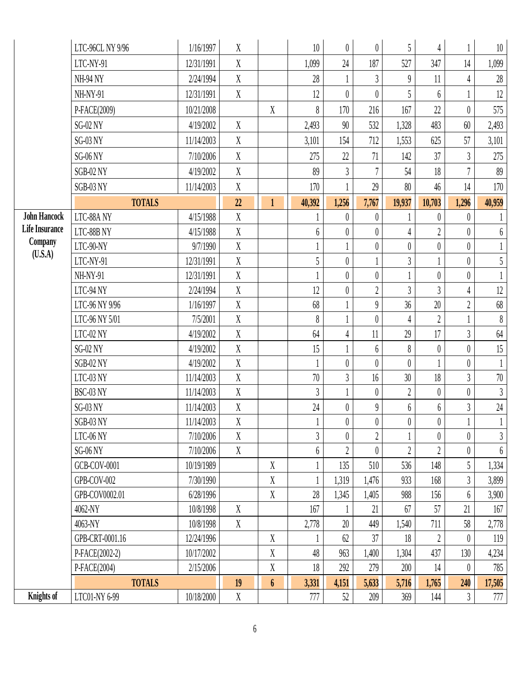|                       | LTC-96CL NY 9/96           | 1/16/1997               | X                         |                  | 10                         | $\theta$       | $\boldsymbol{0}$ | 5                          | $\overline{4}$        |                  | 10                         |
|-----------------------|----------------------------|-------------------------|---------------------------|------------------|----------------------------|----------------|------------------|----------------------------|-----------------------|------------------|----------------------------|
|                       | LTC-NY-91                  | 12/31/1991              | X                         |                  | 1,099                      | 24             | 187              | 527                        | 347                   | 14               | 1,099                      |
|                       | <b>NH-94 NY</b>            | 2/24/1994               | $\mathbf X$               |                  | 28                         |                | 3                | 9                          | 11                    | 4                | $28\,$                     |
|                       | NH-NY-91                   | 12/31/1991              | $\mathbf X$               |                  | 12                         | $\theta$       | $\theta$         | 5                          | 6                     |                  | 12                         |
|                       | P-FACE(2009)               | 10/21/2008              |                           | $\mathbf X$      | $\boldsymbol{\mathcal{S}}$ | 170            | 216              | 167                        | 22                    | $\theta$         | 575                        |
|                       | $SG-02$ NY                 | 4/19/2002               | X                         |                  | 2,493                      | 90             | 532              | 1,328                      | 483                   | 60               | 2,493                      |
|                       | $SG-03$ NY                 | 11/14/2003              | $\mathbf X$               |                  | 3,101                      | 154            | 712              | 1,553                      | 625                   | 57               | 3,101                      |
|                       | $SG-06$ NY                 | 7/10/2006               | $\mathbf X$               |                  | 275                        | 22             | 71               | 142                        | 37                    | $\overline{3}$   | 275                        |
|                       | SGB-02 NY                  | 4/19/2002               | $\mathbf X$               |                  | 89                         | $\mathfrak{Z}$ |                  | 54                         | 18                    | $\overline{7}$   | 89                         |
|                       | SGB-03 NY                  | 11/14/2003              | $\mathbf X$               |                  | 170                        |                | 29               | 80                         | 46                    | 14               | 170                        |
|                       | <b>TOTALS</b>              |                         | 22                        | $\mathbf{1}$     | 40,392                     | 1,256          | 7,767            | 19,937                     | 10,703                | 1,296            | 40,959                     |
| <b>John Hancock</b>   | LTC-88A NY                 | 4/15/1988               | $\mathbf X$               |                  |                            | $\theta$       | $\theta$         |                            | $\theta$              | $\theta$         |                            |
| <b>Life Insurance</b> | LTC-88B NY                 | 4/15/1988               | $\mathbf X$               |                  | $6\,$                      | $\theta$       | $\theta$         | $\overline{4}$             | $\overline{2}$        | $\boldsymbol{0}$ | $6\,$                      |
| Company               | LTC-90-NY                  | 9/7/1990                | $\mathbf X$               |                  | $\mathbf{1}$               |                | $\boldsymbol{0}$ | $\boldsymbol{0}$           | $\overline{0}$        | $\boldsymbol{0}$ | $\mathbf{1}$               |
| (U.S.A)               | LTC-NY-91                  | 12/31/1991              | $\mathbf X$               |                  | 5                          | $\theta$       |                  | $\mathfrak{Z}$             |                       | $\boldsymbol{0}$ | $\overline{5}$             |
|                       | NH-NY-91                   | 12/31/1991              | $\mathbf X$               |                  |                            | $\theta$       | $\boldsymbol{0}$ |                            | $\theta$              | $\boldsymbol{0}$ | $\mathbf{1}$               |
|                       | LTC-94 NY                  | 2/24/1994               | $\mathbf X$               |                  | 12                         | $\theta$       | $\overline{2}$   | $\overline{3}$             | $\overline{3}$        | $\overline{4}$   | 12                         |
|                       | LTC-96 NY 9/96             | 1/16/1997               | X                         |                  | 68                         |                | $\theta$         | 36                         | 20                    | $\overline{2}$   | $68\,$                     |
|                       | LTC-96 NY 5/01             | 7/5/2001                | $\mathbf X$               |                  | 8                          |                | $\theta$         | 4                          | $\overline{2}$        |                  | $\boldsymbol{\mathcal{S}}$ |
|                       | LTC-02 NY                  | 4/19/2002               | $\mathbf X$               |                  | 64                         | 4              | 11               | 29                         | 17                    | $\overline{3}$   | 64                         |
|                       | $SG-02$ NY                 | 4/19/2002               | $\mathbf X$               |                  | 15                         |                | $6\phantom{.}6$  | $\boldsymbol{\mathcal{S}}$ | $\theta$              | $\boldsymbol{0}$ | 15                         |
|                       | SGB-02 NY                  | 4/19/2002               | $\mathbf X$               |                  | $\mathbf{1}$               | $\theta$       | $\theta$         | $\boldsymbol{0}$           |                       | $\boldsymbol{0}$ | $\mathbf{1}$               |
|                       | LTC-03 NY                  | 11/14/2003              | $\mathbf X$               |                  | $70\,$                     | $\overline{3}$ | 16               | 30                         | 18                    | $\overline{3}$   | 70                         |
|                       | BSC-03 NY                  | 11/14/2003              | X                         |                  | $\overline{3}$             |                | $\theta$         | $\overline{2}$             | $\theta$              | $\theta$         | $\mathfrak{Z}$             |
|                       | SG-03 NY                   | 11/14/2003              | $\mathbf X$               |                  | 24                         | $\pmb{0}$      | $\boldsymbol{9}$ | 6                          | 6                     | $\mathfrak{Z}$   | $24\,$                     |
|                       | SGB-03 NY                  | 11/14/2003              | $\boldsymbol{\mathrm{X}}$ |                  |                            | $\theta$       | $\boldsymbol{0}$ | $\boldsymbol{0}$           | $\mathbf{0}$          | $\mathbf{1}$     |                            |
|                       | LTC-06 NY                  | 7/10/2006               | $\mathbf X$               |                  | $\mathfrak{Z}$             | $\theta$       |                  |                            | $\theta$              | $\boldsymbol{0}$ | $\mathfrak{Z}$             |
|                       | SG-06 NY                   | 7/10/2006               | $\mathbf X$               |                  | $6\,$                      | $\overline{2}$ | $\theta$         | $\sqrt{2}$                 | $\overline{2}$        | $\boldsymbol{0}$ | $6\,$                      |
|                       | <b>GCB-COV-0001</b>        | 10/19/1989              |                           | X                | $\mathbf{1}$               | 135            | 510              | 536                        | 148                   | 5                | 1,334                      |
|                       | GPB-COV-002                | 7/30/1990               |                           | $\boldsymbol{X}$ |                            | 1,319          | 1,476            | 933                        | 168                   | $\mathfrak{Z}$   | 3,899                      |
|                       | GPB-COV0002.01             | 6/28/1996               |                           | $\boldsymbol{X}$ | 28                         | 1,345          | 1,405            | 988                        | 156                   | 6                | 3,900                      |
|                       | 4062-NY                    | 10/8/1998               | $\mathbf X$               |                  | 167                        |                | 21               | 67                         | 57                    | 21               | 167                        |
|                       | 4063-NY<br>GPB-CRT-0001.16 | 10/8/1998<br>12/24/1996 | $\mathbf X$               | X                | 2,778                      | 20<br>62       | 449<br>37        | 1,540<br>18                | 711<br>$\overline{2}$ | 58<br>$\theta$   | 2,778                      |
|                       | P-FACE(2002-2)             | 10/17/2002              |                           | $\mathbf X$      | 48                         | 963            | 1,400            | 1,304                      | 437                   | 130              | 119                        |
|                       | P-FACE(2004)               | 2/15/2006               |                           | X                | 18                         | 292            | 279              | 200                        | 14                    | $\theta$         | 4,234<br>785               |
|                       | <b>TOTALS</b>              |                         | 19                        | $\boldsymbol{6}$ | 3,331                      | 4,151          | 5,633            | 5,716                      | 1,765                 | 240              | 17,505                     |
| Knights of            | LTC01-NY 6-99              | 10/18/2000              | X                         |                  | 777                        | 52             | 209              | 369                        | 144                   | $\mathfrak{Z}$   | 777                        |
|                       |                            |                         |                           |                  |                            |                |                  |                            |                       |                  |                            |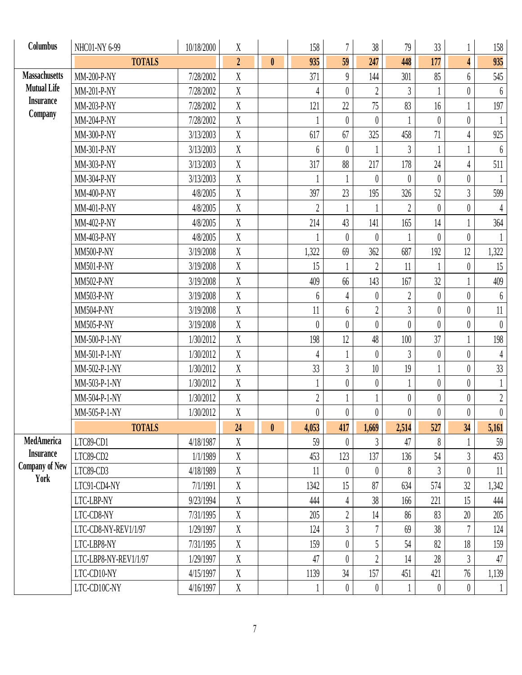| Columbus                                  | NHC01-NY 6-99         | 10/18/2000 | $\mathbf X$      |              | 158              | $\overline{7}$   | 38               | 79               | 33               |                  | 158              |
|-------------------------------------------|-----------------------|------------|------------------|--------------|------------------|------------------|------------------|------------------|------------------|------------------|------------------|
|                                           | <b>TOTALS</b>         |            | $\overline{2}$   | $\mathbf{0}$ | 935              | 59               | 247              | 448              | 177              | $\overline{4}$   | 935              |
| <b>Massachusetts</b>                      | MM-200-P-NY           | 7/28/2002  | $\mathbf X$      |              | 371              | $\theta$         | 144              | 301              | 85               | 6                | 545              |
| <b>Mutual Life</b>                        | MM-201-P-NY           | 7/28/2002  | $\mathbf X$      |              | 4                | $\theta$         | $\overline{2}$   | $\mathfrak{Z}$   |                  | $\boldsymbol{0}$ | $6\phantom{.0}$  |
| <b>Insurance</b>                          | MM-203-P-NY           | 7/28/2002  | $\mathbf X$      |              | 121              | 22               | 75               | 83               | 16               |                  | 197              |
| Company                                   | MM-204-P-NY           | 7/28/2002  | $\mathbf X$      |              |                  | $\theta$         | $\theta$         |                  | $\theta$         | $\boldsymbol{0}$ |                  |
|                                           | MM-300-P-NY           | 3/13/2003  | X                |              | 617              | 67               | 325              | 458              | 71               | $\overline{4}$   | 925              |
|                                           | MM-301-P-NY           | 3/13/2003  | X                |              | 6                | $\overline{0}$   |                  | $\mathfrak{Z}$   |                  |                  | $6\phantom{.}6$  |
|                                           | MM-303-P-NY           | 3/13/2003  | $\boldsymbol{X}$ |              | 317              | 88               | 217              | 178              | 24               | $\overline{4}$   | 511              |
|                                           | MM-304-P-NY           | 3/13/2003  | X                |              |                  |                  | $\theta$         | $\theta$         | $\theta$         | $\theta$         | $\mathbf{1}$     |
|                                           | MM-400-P-NY           | 4/8/2005   | $\mathbf X$      |              | 397              | 23               | 195              | 326              | 52               | $\mathfrak{Z}$   | 599              |
|                                           | MM-401-P-NY           | 4/8/2005   | X                |              | $\overline{2}$   |                  |                  | $\overline{2}$   | $\theta$         | $\theta$         | $\overline{4}$   |
|                                           | MM-402-P-NY           | 4/8/2005   | $\mathbf X$      |              | 214              | 43               | 141              | 165              | 14               |                  | 364              |
|                                           | MM-403-P-NY           | 4/8/2005   | X                |              |                  | $\theta$         | $\theta$         |                  | $\theta$         | $\theta$         |                  |
|                                           | <b>MM500-P-NY</b>     | 3/19/2008  | $\mathbf X$      |              | 1,322            | 69               | 362              | 687              | 192              | 12               | 1,322            |
|                                           | MM501-P-NY            | 3/19/2008  | $\boldsymbol{X}$ |              | 15               | 1                | $\overline{2}$   | 11               | 1                | $\boldsymbol{0}$ | 15               |
|                                           | MM502-P-NY            | 3/19/2008  | $\boldsymbol{X}$ |              | 409              | 66               | 143              | 167              | 32               |                  | 409              |
|                                           | MM503-P-NY            | 3/19/2008  | $\mathbf X$      |              | 6                | 4                | $\theta$         | $\overline{2}$   | $\theta$         | $\theta$         | $6\phantom{.0}$  |
|                                           | MM504-P-NY            | 3/19/2008  | $\mathbf X$      |              | 11               | 6                | $\overline{2}$   | $\overline{3}$   | $\theta$         | $\theta$         | $11\,$           |
|                                           | MM505-P-NY            | 3/19/2008  | $\mathbf X$      |              | $\theta$         | $\theta$         | $\theta$         | $\theta$         | $\theta$         | $\boldsymbol{0}$ | $\overline{0}$   |
|                                           | MM-500-P-1-NY         | 1/30/2012  | $\mathbf X$      |              | 198              | 12               | 48               | 100              | 37               |                  | 198              |
|                                           | MM-501-P-1-NY         | 1/30/2012  | $\mathbf X$      |              | 4                |                  | $\overline{0}$   | $\overline{3}$   | $\boldsymbol{0}$ | $\boldsymbol{0}$ | $\sqrt{4}$       |
|                                           | MM-502-P-1-NY         | 1/30/2012  | X                |              | 33               | $\overline{3}$   | 10 <sup>10</sup> | 19               | 1                | $\boldsymbol{0}$ | 33               |
|                                           | MM-503-P-1-NY         | 1/30/2012  | X                |              | $\mathbf{I}$     | $\theta$         | $\boldsymbol{0}$ | $\overline{1}$   | $\theta$         | $\boldsymbol{0}$ | $\mathbf{1}$     |
|                                           | MM-504-P-1-NY         | 1/30/2012  | $\boldsymbol{X}$ |              | $\overline{2}$   |                  |                  | $\overline{0}$   | $\theta$         | $\boldsymbol{0}$ | $\sqrt{2}$       |
|                                           | MM-505-P-1-NY         | 1/30/2012  | $\mathbf X$      |              | $\boldsymbol{0}$ | $\boldsymbol{0}$ | $\overline{0}$   | $\boldsymbol{0}$ | $\pmb{0}$        | $\theta$         | $\boldsymbol{0}$ |
|                                           | <b>TOTALS</b>         |            | 24               | $\mathbf{0}$ | 4,053            | 417              | 1,669            | 2,514            | 527              | 34               | 5,161            |
| MedAmerica                                | LTC89-CD1             | 4/18/1987  | X                |              | 59               | $\theta$         | $\mathfrak{Z}$   | 47               | 8                |                  | 59               |
| <b>Insurance</b><br><b>Company of New</b> | LTC89-CD2             | 1/1/1989   | X                |              | 453              | 123              | 137              | 136              | 54               | $\mathfrak{Z}$   | 453              |
| York                                      | LTC89-CD3             | 4/18/1989  | $\boldsymbol{X}$ |              | 11               | $\theta$         | $\boldsymbol{0}$ | 8                | $\overline{3}$   | $\theta$         | 11               |
|                                           | LTC91-CD4-NY          | 7/1/1991   | X                |              | 1342             | 15               | 87               | 634              | 574              | 32               | 1,342            |
|                                           | LTC-LBP-NY            | 9/23/1994  | $\mathbf X$      |              | 444              | 4                | 38               | 166              | 221              | 15               | 444              |
|                                           | LTC-CD8-NY            | 7/31/1995  | $\mathbf X$      |              | 205              | $\sqrt{2}$       | 14               | 86               | 83               | 20               | $205$            |
|                                           | LTC-CD8-NY-REV1/1/97  | 1/29/1997  | $\mathbf X$      |              | 124              | $\overline{3}$   |                  | 69               | 38               | $\overline{7}$   | 124              |
|                                           | LTC-LBP8-NY           | 7/31/1995  | $\mathbf X$      |              | 159              | $\boldsymbol{0}$ | 5                | 54               | 82               | 18               | 159              |
|                                           | LTC-LBP8-NY-REV1/1/97 | 1/29/1997  | $\mathbf X$      |              | 47               | $\overline{0}$   | $\overline{2}$   | 14               | 28               | $\mathfrak{Z}$   | $47\,$           |
|                                           | LTC-CD10-NY           | 4/15/1997  | X                |              | 1139             | 34               | 157              | 451              | 421              | 76               | 1,139            |
|                                           | LTC-CD10C-NY          | 4/16/1997  | X                |              | 1                | $\theta$         | $\boldsymbol{0}$ | $\perp$          | $\theta$         | $\boldsymbol{0}$ | $\mathbf{1}$     |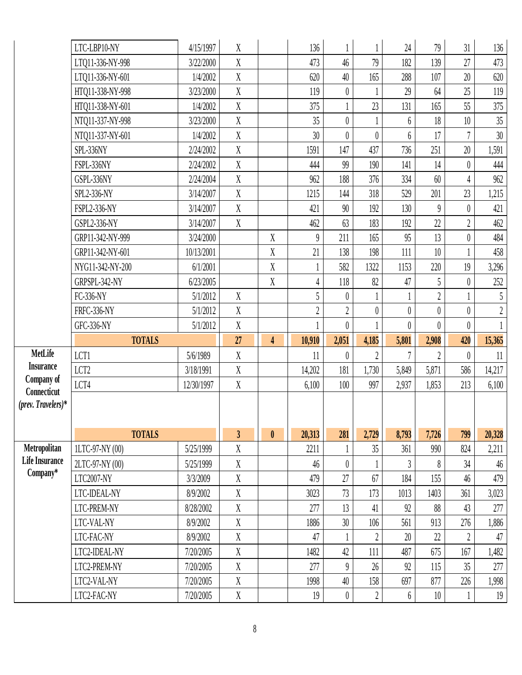|                                        | LTC-LBP10-NY      | 4/15/1997  | X                       |                         | 136            |                  |                  | 24               | 79               | 31               | 136            |
|----------------------------------------|-------------------|------------|-------------------------|-------------------------|----------------|------------------|------------------|------------------|------------------|------------------|----------------|
|                                        | LTQ11-336-NY-998  | 3/22/2000  | $\mathbf X$             |                         | 473            | 46               | 79               | 182              | 139              | 27               | 473            |
|                                        | LTQ11-336-NY-601  | 1/4/2002   | $\mathbf X$             |                         | 620            | 40               | 165              | 288              | 107              | 20               | 620            |
|                                        | HTQ11-338-NY-998  | 3/23/2000  | $\mathbf X$             |                         | 119            | $\boldsymbol{0}$ |                  | 29               | 64               | 25               | $119$          |
|                                        | HTQ11-338-NY-601  | 1/4/2002   | $\mathbf X$             |                         | 375            |                  | 23               | 131              | 165              | 55               | 375            |
|                                        | NTQ11-337-NY-998  | 3/23/2000  | $\mathbf X$             |                         | 35             | $\overline{0}$   |                  | 6                | 18               | 10               | $35\,$         |
|                                        | NTQ11-337-NY-601  | 1/4/2002   | X                       |                         | 30             | $\boldsymbol{0}$ | $\boldsymbol{0}$ | $6\phantom{.0}$  | 17               | $\overline{7}$   | 30             |
|                                        | SPL-336NY         | 2/24/2002  | X                       |                         | 1591           | 147              | 437              | 736              | 251              | 20               | 1,591          |
|                                        | FSPL-336NY        | 2/24/2002  | $\mathbf X$             |                         | 444            | 99               | 190              | 141              | 14               | $\theta$         | 444            |
|                                        | GSPL-336NY        | 2/24/2004  | X                       |                         | 962            | 188              | 376              | 334              | 60               | $\overline{4}$   | 962            |
|                                        | SPL2-336-NY       | 3/14/2007  | $\mathbf X$             |                         | 1215           | 144              | 318              | 529              | 201              | 23               | 1,215          |
|                                        | FSPL2-336-NY      | 3/14/2007  | $\mathbf X$             |                         | 421            | 90               | 192              | 130              | $\boldsymbol{9}$ | $\theta$         | 421            |
|                                        | GSPL2-336-NY      | 3/14/2007  | $\mathbf X$             |                         | 462            | 63               | 183              | 192              | 22               | $\overline{2}$   | 462            |
|                                        | GRP11-342-NY-999  | 3/24/2000  |                         | $\mathbf X$             | $\overline{9}$ | 211              | 165              | 95               | 13               | $\boldsymbol{0}$ | 484            |
|                                        | GRP11-342-NY-601  | 10/13/2001 |                         | $\mathbf X$             | 21             | 138              | 198              | 111              | 10               |                  | 458            |
|                                        | NYG11-342-NY-200  | 6/1/2001   |                         | $\mathbf X$             |                | 582              | 1322             | 1153             | 220              | 19               | 3,296          |
|                                        | GRPSPL-342-NY     | 6/23/2005  |                         | $\mathbf X$             | $\overline{4}$ | 118              | 82               | 47               | 5                | $\theta$         | $252\,$        |
|                                        | FC-336-NY         | 5/1/2012   | $\mathbf X$             |                         | 5              | $\theta$         |                  |                  | $\sqrt{2}$       |                  | $\mathfrak{h}$ |
|                                        | FRFC-336-NY       | 5/1/2012   | $\mathbf X$             |                         | $\overline{2}$ | $\overline{2}$   | $\theta$         | $\boldsymbol{0}$ | $\boldsymbol{0}$ | $\overline{0}$   | $\sqrt{2}$     |
|                                        | <b>GFC-336-NY</b> | 5/1/2012   | $\mathbf X$             |                         |                | $\overline{0}$   |                  | $\overline{0}$   | $\theta$         | $\theta$         |                |
|                                        | <b>TOTALS</b>     |            | 27                      | $\overline{\mathbf{4}}$ | 10,910         | 2,051            | 4,185            | 5,801            | 2,908            | 420              | 15,365         |
| MetLife                                | LCT1              | 5/6/1989   | $\mathbf X$             |                         | 11             | $\boldsymbol{0}$ | $\overline{2}$   | 7                | $\overline{2}$   | $\theta$         | 11             |
| <b>Insurance</b>                       | LCT <sub>2</sub>  | 3/18/1991  | $\mathbf X$             |                         | 14,202         | 181              | 1,730            | 5,849            | 5,871            | 586              | 14,217         |
| Company of<br>Connecticut              | LCT4              | 12/30/1997 | $\mathbf X$             |                         | 6,100          | 100              | 997              | 2,937            | 1,853            | 213              | 6,100          |
| $(\text{prev.} \; \text{Travelers})^*$ |                   |            |                         |                         |                |                  |                  |                  |                  |                  |                |
|                                        |                   |            |                         |                         |                |                  |                  |                  |                  |                  |                |
|                                        | <b>TOTALS</b>     |            | $\overline{\mathbf{3}}$ | $\mathbf{0}$            | 20,313         | 281              | 2,729            | 8,793            | 7,726            | 799              | 20,328         |
| Metropolitan                           | 1LTC-97-NY (00)   | 5/25/1999  | X                       |                         | 2211           |                  | 35               | 361              | 990              | 824              | 2,211          |
| <b>Life Insurance</b>                  | 2LTC-97-NY (00)   | 5/25/1999  | X                       |                         | 46             | $\overline{0}$   |                  | 3                | 8                | 34               | $46\,$         |
| Company*                               | LTC2007-NY        | 3/3/2009   | $\mathbf X$             |                         | 479            | 27               | 67               | 184              | 155              | 46               | 479            |
|                                        |                   |            |                         |                         |                |                  |                  |                  |                  |                  |                |
|                                        | LTC-IDEAL-NY      | 8/9/2002   | $\mathbf X$             |                         | 3023           | 73               | 173              | 1013             | 1403             | 361              |                |
|                                        | LTC-PREM-NY       | 8/28/2002  | $\boldsymbol{X}$        |                         | 277            | 13               | 41               | 92               | 88               | 43               | 3,023<br>277   |
|                                        | LTC-VAL-NY        | 8/9/2002   | $\mathbf X$             |                         | 1886           | 30               | 106              | 561              | 913              | 276              |                |
|                                        | LTC-FAC-NY        | 8/9/2002   | $\mathbf X$             |                         | 47             | 1                | $\overline{2}$   | $20\,$           | 22               | $\overline{2}$   | 1,886<br>47    |
|                                        | LTC2-IDEAL-NY     | 7/20/2005  | $\mathbf X$             |                         | 1482           | 42               | 111              | 487              | 675              | 167              | 1,482          |
|                                        | LTC2-PREM-NY      | 7/20/2005  | $\mathbf X$             |                         | 277            | $\overline{9}$   | 26               | 92               | 115              | 35               | 277            |
|                                        | LTC2-VAL-NY       | 7/20/2005  | $\mathbf X$             |                         | 1998           | $40\,$           | 158              | 697              | 877              | 226              | 1,998          |
|                                        | LTC2-FAC-NY       | 7/20/2005  | $\mathbf X$             |                         | 19             | $\boldsymbol{0}$ | $\overline{2}$   | $6\phantom{.0}$  | $10\,$           |                  | 19             |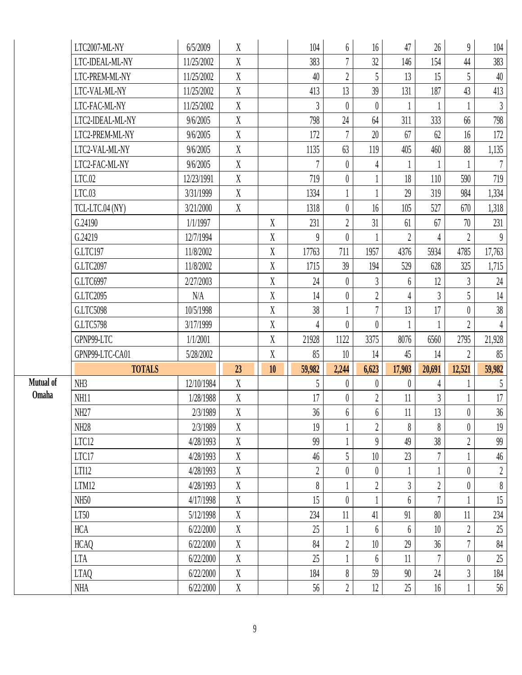|           | LTC2007-ML-NY    | 6/5/2009   | X                         |                  | 104            | $6\phantom{.0}$  | 16               | 47              | 26             | $\overline{9}$   | 104              |
|-----------|------------------|------------|---------------------------|------------------|----------------|------------------|------------------|-----------------|----------------|------------------|------------------|
|           | LTC-IDEAL-ML-NY  | 11/25/2002 | X                         |                  | 383            | $7\phantom{.}$   | 32               | 146             | 154            | 44               | 383              |
|           | LTC-PREM-ML-NY   | 11/25/2002 | X                         |                  | 40             | $\overline{2}$   | 5                | 13              | 15             | 5                | 40               |
|           | LTC-VAL-ML-NY    | 11/25/2002 | X                         |                  | 413            | 13               | 39               | 131             | 187            | 43               | 413              |
|           | LTC-FAC-ML-NY    | 11/25/2002 | $\mathbf{X}$              |                  | $\overline{3}$ | $\theta$         | $\overline{0}$   |                 |                |                  | $\mathfrak{Z}$   |
|           | LTC2-IDEAL-ML-NY | 9/6/2005   | X                         |                  | 798            | $24\,$           | 64               | 311             | 333            | 66               | 798              |
|           | LTC2-PREM-ML-NY  | 9/6/2005   | $\boldsymbol{\mathrm{X}}$ |                  | 172            | $\overline{7}$   | $20\,$           | 67              | 62             | 16               | 172              |
|           | LTC2-VAL-ML-NY   | 9/6/2005   | X                         |                  | 1135           | 63               | 119              | 405             | 460            | 88               | 1,135            |
|           | LTC2-FAC-ML-NY   | 9/6/2005   | X                         |                  | 7              | $\theta$         | $\overline{4}$   | 1               | 1              |                  | $\overline{7}$   |
|           | LTC.02           | 12/23/1991 | X                         |                  | 719            | $\theta$         |                  | 18              | 110            | 590              | 719              |
|           | LTC.03           | 3/31/1999  | X                         |                  | 1334           |                  |                  | 29              | 319            | 984              | 1,334            |
|           | TCL-LTC.04 (NY)  | 3/21/2000  | X                         |                  | 1318           | $\overline{0}$   | 16               | 105             | 527            | 670              | 1,318            |
|           | G.24190          | 1/1/1997   |                           | $\boldsymbol{X}$ | 231            | $\overline{2}$   | 31               | 61              | 67             | 70               | 231              |
|           | G.24219          | 12/7/1994  |                           | $\mathbf X$      | $\theta$       | $\overline{0}$   |                  | $\overline{2}$  | $\overline{4}$ | $\overline{2}$   | 9                |
|           | G.LTC197         | 11/8/2002  |                           | $\mathbf X$      | 17763          | 711              | 1957             | 4376            | 5934           | 4785             | 17,763           |
|           | G.LTC2097        | 11/8/2002  |                           | $\boldsymbol{X}$ | 1715           | 39               | 194              | 529             | 628            | 325              | 1,715            |
|           | G.LTC6997        | 2/27/2003  |                           | $\boldsymbol{X}$ | 24             | $\theta$         | $\mathfrak{Z}$   | 6               | 12             | $\mathfrak{Z}$   | $24\,$           |
|           | G.LTC2095        | N/A        |                           | $\boldsymbol{X}$ | 14             | $\boldsymbol{0}$ | $\boldsymbol{2}$ | 4               | $\overline{3}$ | 5                | 14               |
|           | G.LTC5098        | 10/5/1998  |                           | $\boldsymbol{X}$ | 38             |                  | $\overline{7}$   | 13              | 17             | $\theta$         | $38\,$           |
|           | G.LTC5798        | 3/17/1999  |                           | $\mathbf X$      | 4              | $\overline{0}$   | $\theta$         |                 | 1              | $\overline{2}$   | $\overline{4}$   |
|           | GPNP99-LTC       | 1/1/2001   |                           | $\mathbf X$      | 21928          | 1122             | 3375             | 8076            | 6560           | 2795             | 21,928           |
|           | GPNP99-LTC-CA01  | 5/28/2002  |                           | $\boldsymbol{X}$ | 85             | 10               | 14               | 45              | 14             | $\overline{2}$   | 85               |
|           | <b>TOTALS</b>    |            | 23                        | 10 <sup>°</sup>  | 59,982         | 2,244            | 6,623            | 17,903          | 20,691         | 12,521           | 59,982           |
| Mutual of | NH <sub>3</sub>  | 12/10/1984 | X                         |                  | 5              | $\theta$         | $\theta$         | $\theta$        | 4              |                  | 5                |
| Omaha     | NH11             | 1/28/1988  | X                         |                  | 17             | $\theta$         | $\boldsymbol{2}$ | 11              | $\mathfrak{Z}$ |                  | 17               |
|           | NH27             | 2/3/1989   | X                         |                  | 36             | $6\phantom{.0}$  | 6                | 11              | 13             | $\theta$         | 36               |
|           | NH28             | 2/3/1989   | X                         |                  | 19             |                  | $2\,$            | 8               | 8              | $\boldsymbol{0}$ | 19               |
|           | LTC12            | 4/28/1993  | $\mathbf{X}$              |                  | 99             |                  | $\overline{9}$   | 49              | 38             | $\overline{2}$   | 99               |
|           | LTC17            | 4/28/1993  | X                         |                  | 46             | 5                | 10               | 23              | $\overline{7}$ |                  | $46\,$           |
|           | LTI12            | 4/28/1993  | X                         |                  | $\overline{2}$ | $\theta$         | $\theta$         |                 |                | $\theta$         | $\boldsymbol{2}$ |
|           | LTM12            | 4/28/1993  | X                         |                  | 8              |                  | $\boldsymbol{2}$ | $\overline{3}$  | $\overline{2}$ | $\theta$         | $\boldsymbol{8}$ |
|           | NH <sub>50</sub> | 4/17/1998  | $\mathbf X$               |                  | 15             | $\boldsymbol{0}$ |                  | 6               | $\overline{7}$ |                  | 15               |
|           | LT50             | 5/12/1998  | X                         |                  | 234            | 11               | 41               | 91              | 80             | 11               | 234              |
|           | <b>HCA</b>       | 6/22/2000  | X                         |                  | 25             |                  | 6                | $6\phantom{.}6$ | 10             | $\overline{2}$   | $25\,$           |
|           | <b>HCAQ</b>      | 6/22/2000  | X                         |                  | 84             | $\overline{2}$   | 10               | 29              | 36             | $\overline{7}$   | $84\,$           |
|           | <b>LTA</b>       | 6/22/2000  | X                         |                  | 25             |                  | $6\phantom{.}6$  | 11              | $\overline{7}$ | $\overline{0}$   | $25\,$           |
|           |                  |            |                           |                  |                |                  |                  |                 |                |                  |                  |
|           | <b>LTAQ</b>      | 6/22/2000  | X<br>$\mathbf X$          |                  | 184            | 8                | 59               | 90              | 24             | $\mathfrak{Z}$   | 184              |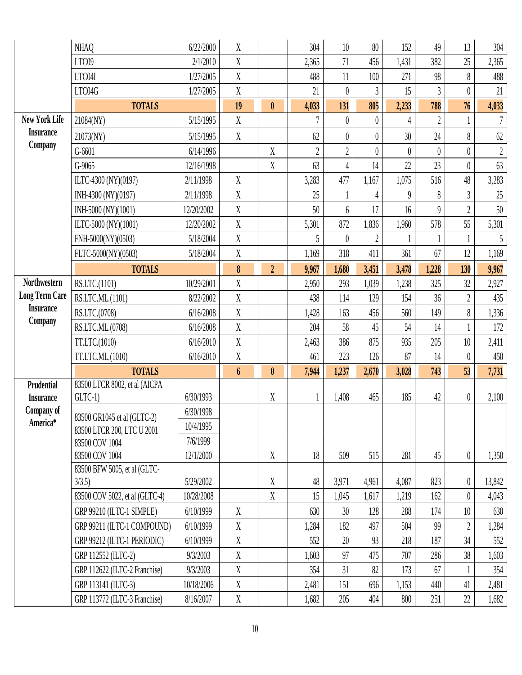|                        | <b>NHAQ</b>                                    | 6/22/2000  | X                |                           | 304            | 10               | 80               | 152            | 49             | 13               | 304            |
|------------------------|------------------------------------------------|------------|------------------|---------------------------|----------------|------------------|------------------|----------------|----------------|------------------|----------------|
|                        | LTC09                                          | 2/1/2010   | $\overline{X}$   |                           | 2,365          | 71               | 456              | 1,431          | 382            | 25               | 2,365          |
|                        | LTC04I                                         | 1/27/2005  | $\overline{X}$   |                           | 488            | 11               | 100              | 271            | 98             | 8                | 488            |
|                        | LTC04G                                         | 1/27/2005  | X                |                           | 21             | $\theta$         | 3                | 15             | $\overline{3}$ | $\theta$         | 21             |
|                        | <b>TOTALS</b>                                  |            | 19               | $\mathbf{0}$              | 4,033          | 131              | 805              | 2,233          | 788            | 76               | 4,033          |
| <b>New York Life</b>   | 21084(NY)                                      | 5/15/1995  | X                |                           | 7              | $\theta$         | $\boldsymbol{0}$ | 4              | $\overline{2}$ |                  | $\overline{7}$ |
| <b>Insurance</b>       | 21073(NY)                                      | 5/15/1995  | X                |                           | 62             | $\theta$         | $\theta$         | 30             | 24             | 8                | $62$           |
| Company                | $G - 6601$                                     | 6/14/1996  |                  | $\boldsymbol{\mathrm{X}}$ | $\overline{2}$ | $\boldsymbol{2}$ | $\boldsymbol{0}$ | $\theta$       | $\theta$       | $\boldsymbol{0}$ | $\sqrt{2}$     |
|                        | $G-9065$                                       | 12/16/1998 |                  | $\overline{X}$            | 63             | 4                | 14               | 22             | 23             | $\theta$         | 63             |
|                        | ILTC-4300 (NY)(0197)                           | 2/11/1998  | X                |                           | 3,283          | 477              | 1,167            | 1,075          | 516            | 48               | 3,283          |
|                        | INH-4300 (NY)(0197)                            | 2/11/1998  | X                |                           | 25             |                  | 4                | $\overline{9}$ | 8              | $\overline{3}$   | 25             |
|                        | INH-5000 (NY)(1001)                            | 12/20/2002 | $\mathbf X$      |                           | 50             | 6                | 17               | 16             | $\theta$       | $\overline{2}$   | $50\,$         |
|                        | ILTC-5000 (NY)(1001)                           | 12/20/2002 | X                |                           | 5,301          | 872              | 1,836            | 1,960          | 578            | 55               | 5,301          |
|                        | FNH-5000(NY)(0503)                             | 5/18/2004  | X                |                           | 5              | $\theta$         | $\overline{2}$   |                |                |                  | 5              |
|                        | FLTC-5000(NY)(0503)                            | 5/18/2004  | X                |                           | 1,169          | 318              | 411              | 361            | 67             | 12               | 1,169          |
|                        | <b>TOTALS</b>                                  |            | 8                | $\boldsymbol{2}$          | 9,967          | 1,680            | 3,451            | 3,478          | 1,228          | 130              | 9,967          |
| Northwestern           | RS.LTC.(1101)                                  | 10/29/2001 | $\overline{X}$   |                           | 2,950          | 293              | 1,039            | 1,238          | 325            | 32               | 2,927          |
| <b>Long Term Care</b>  | RS.LTC.ML.(1101)                               | 8/22/2002  | X                |                           | 438            | 114              | 129              | 154            | 36             | $\overline{2}$   | 435            |
| <b>Insurance</b>       | RS.LTC.(0708)                                  | 6/16/2008  | X                |                           | 1,428          | 163              | 456              | 560            | 149            | 8                | 1,336          |
| Company                | RS.LTC.ML.(0708)                               | 6/16/2008  | $\overline{X}$   |                           | 204            | 58               | 45               | 54             | 14             |                  | 172            |
|                        | TT.LTC.(1010)                                  | 6/16/2010  | X                |                           | 2,463          | 386              | 875              | 935            | 205            | 10               | 2,411          |
|                        | TT.LTC.ML.(1010)                               | 6/16/2010  | X                |                           | 461            | 223              | 126              | 87             | 14             | $\theta$         | 450            |
|                        | <b>TOTALS</b>                                  |            | $\boldsymbol{6}$ | $\pmb{0}$                 | 7,944          | 1,237            | 2,670            | 3,028          | 743            | 53               | 7,731          |
| Prudential             | 83500 LTCR 8002, et al (AICPA                  |            |                  |                           |                |                  |                  |                |                |                  |                |
| <b>Insurance</b>       | $GLTC-1)$                                      | 6/30/1993  |                  | X                         | 1              | 1,408            | 465              | 185            | 42             | $\boldsymbol{0}$ | 2,100          |
| Company of<br>America* | 83500 GR1045 et al (GLTC-2)                    | 6/30/1998  |                  |                           |                |                  |                  |                |                |                  |                |
|                        | 83500 LTCR 200, LTC U 2001                     | 10/4/1995  |                  |                           |                |                  |                  |                |                |                  |                |
|                        | 83500 COV 1004                                 | 7/6/1999   |                  |                           |                |                  |                  |                |                |                  |                |
|                        | 83500 COV 1004<br>83500 BFW 5005, et al (GLTC- | 12/1/2000  |                  | $\mathbf X$               | 18             | 509              | 515              | 281            | 45             | $\overline{0}$   | 1,350          |
|                        | 3/3.5                                          | 5/29/2002  |                  | $\boldsymbol{X}$          | 48             | 3,971            | 4,961            | 4,087          | 823            | $\theta$         | 13,842         |
|                        | 83500 COV 5022, et al (GLTC-4)                 | 10/28/2008 |                  | $\boldsymbol{\mathrm{X}}$ | 15             | 1,045            | 1,617            | 1,219          | 162            | $\theta$         | 4,043          |
|                        | GRP 99210 (ILTC-1 SIMPLE)                      | 6/10/1999  | X                |                           | 630            | 30               | 128              | 288            | 174            | 10               | 630            |
|                        | GRP 99211 (ILTC-1 COMPOUND)                    | 6/10/1999  | X                |                           | 1,284          | 182              | 497              | 504            | 99             | $\overline{2}$   | 1,284          |
|                        | GRP 99212 (ILTC-1 PERIODIC)                    | 6/10/1999  | X                |                           | 552            | 20               | 93               | 218            | 187            | 34               | 552            |
|                        | GRP 112552 (ILTC-2)                            | 9/3/2003   | X                |                           | 1,603          | 97               | 475              | 707            | 286            | 38               | 1,603          |
|                        | GRP 112622 (ILTC-2 Franchise)                  | 9/3/2003   | X                |                           | 354            | 31               | 82               | 173            | 67             |                  | 354            |
|                        | GRP 113141 (ILTC-3)                            | 10/18/2006 | X                |                           | 2,481          | 151              | 696              | 1,153          | 440            | 41               | 2,481          |
|                        | GRP 113772 (ILTC-3 Franchise)                  | 8/16/2007  | X                |                           | 1,682          | 205              | 404              | 800            | 251            | 22               | 1,682          |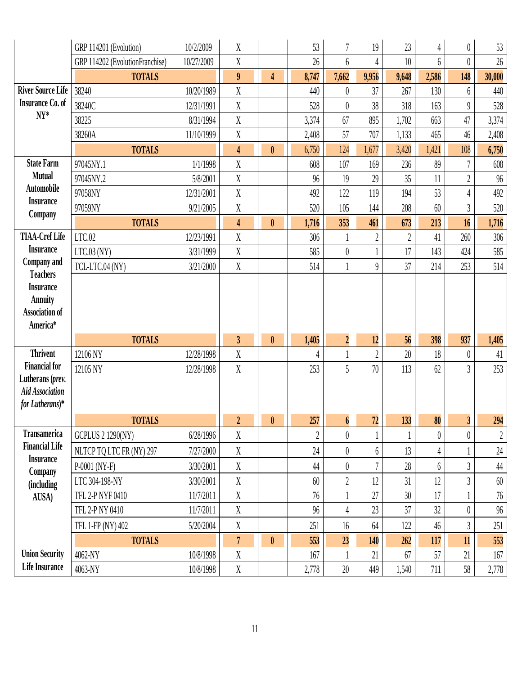|                                            | GRP 114201 (Evolution)          | 10/2/2009  | X                         |                  | 53             | $\overline{7}$   | 19             | 23             | $\overline{4}$ | $\boldsymbol{0}$ | 53         |
|--------------------------------------------|---------------------------------|------------|---------------------------|------------------|----------------|------------------|----------------|----------------|----------------|------------------|------------|
|                                            | GRP 114202 (EvolutionFranchise) | 10/27/2009 | X                         |                  | 26             | 6                | 4              | 10             | 6              | $\theta$         | $26\,$     |
|                                            | <b>TOTALS</b>                   |            | $\boldsymbol{9}$          | $\overline{4}$   | 8,747          | 7,662            | 9,956          | 9,648          | 2,586          | 148              | 30,000     |
| <b>River Source Life</b>                   | 38240                           | 10/20/1989 | $\overline{X}$            |                  | 440            | $\theta$         | 37             | 267            | 130            | 6                | 440        |
| <b>Insurance Co. of</b>                    | 38240C                          | 12/31/1991 | $\rm X$                   |                  | 528            | $\theta$         | 38             | 318            | 163            | $\theta$         | 528        |
| $NY^*$                                     | 38225                           | 8/31/1994  | X                         |                  | 3,374          | 67               | 895            | 1,702          | 663            | 47               | 3,374      |
|                                            | 38260A                          | 11/10/1999 | X                         |                  | 2,408          | 57               | 707            | 1,133          | 465            | 46               | 2,408      |
|                                            | <b>TOTALS</b>                   |            | $\overline{\mathbf{4}}$   | $\boldsymbol{0}$ | 6,750          | 124              | 1,677          | 3,420          | 1,421          | 108              | 6,750      |
| <b>State Farm</b>                          | 97045NY.1                       | 1/1/1998   | $\overline{X}$            |                  | 608            | 107              | 169            | 236            | 89             | $\overline{7}$   | $608$      |
| <b>Mutual</b>                              | 97045NY.2                       | 5/8/2001   | X                         |                  | 96             | 19               | 29             | 35             | 11             | $\overline{2}$   | $96\,$     |
| <b>Automobile</b>                          | 97058NY                         | 12/31/2001 | $\mathbf X$               |                  | 492            | 122              | 119            | 194            | 53             | $\overline{4}$   | 492        |
| <b>Insurance</b><br>Company                | 97059NY                         | 9/21/2005  | X                         |                  | 520            | 105              | 144            | 208            | 60             | $\mathfrak{Z}$   | 520        |
|                                            | <b>TOTALS</b>                   |            | $\overline{\mathbf{4}}$   | $\boldsymbol{0}$ | 1,716          | 353              | 461            | 673            | 213            | 16               | 1,716      |
| <b>TIAA-Cref Life</b>                      | LTC.02                          | 12/23/1991 | X                         |                  | 306            |                  | $\overline{2}$ | $\overline{2}$ | 41             | 260              | 306        |
| <b>Insurance</b>                           | $LTC.03$ (NY)                   | 3/31/1999  | X                         |                  | 585            | $\theta$         |                | 17             | 143            | 424              | 585        |
| Company and<br><b>Teachers</b>             | TCL-LTC.04 (NY)                 | 3/21/2000  | $\mathbf X$               |                  | 514            |                  | $\overline{9}$ | 37             | 214            | 253              | 514        |
| <b>Insurance</b>                           |                                 |            |                           |                  |                |                  |                |                |                |                  |            |
| <b>Annuity</b>                             |                                 |            |                           |                  |                |                  |                |                |                |                  |            |
| <b>Association of</b>                      |                                 |            |                           |                  |                |                  |                |                |                |                  |            |
| America*                                   |                                 |            |                           |                  |                |                  |                |                |                |                  |            |
|                                            | <b>TOTALS</b>                   |            | $\mathfrak{z}$            | $\pmb{0}$        | 1,405          | $\overline{2}$   | 12             | 56             | 398            | 937              | 1,405      |
| <b>Thrivent</b>                            | 12106 NY                        | 12/28/1998 | X                         |                  | 4              |                  | $\overline{2}$ | 20             | 18             | $\theta$         | 41         |
| <b>Financial for</b>                       | 12105 NY                        | 12/28/1998 | $\boldsymbol{\mathrm{X}}$ |                  | 253            | 5                | 70             | 113            | 62             | $\overline{3}$   | 253        |
| Lutherans (prev.<br><b>Aid Association</b> |                                 |            |                           |                  |                |                  |                |                |                |                  |            |
| for Lutherans)*                            |                                 |            |                           |                  |                |                  |                |                |                |                  |            |
|                                            | <b>TOTALS</b>                   |            | $\boxed{2}$               | $\mathbf{0}$     | 257            | $\boldsymbol{6}$ | 72             | 133            | 80             | 3 <sup>1</sup>   | 294        |
| <b>Transamerica</b>                        | <b>GCPLUS 2 1290(NY)</b>        | 6/28/1996  | $\boldsymbol{\mathrm{X}}$ |                  | $\overline{2}$ | $\theta$         |                |                | $\theta$       | $\boldsymbol{0}$ | $\sqrt{2}$ |
| <b>Financial Life</b>                      | NLTCP TQ LTC FR (NY) 297        | 7/27/2000  | $\mathbf X$               |                  | 24             | $\theta$         | 6              | 13             | $\overline{4}$ |                  | $24\,$     |
| <b>Insurance</b>                           | $P-0001$ (NY-F)                 | 3/30/2001  | X                         |                  | 44             | $\theta$         | 7              | 28             | 6              | $\mathfrak{Z}$   | $44\,$     |
| Company                                    | LTC 304-198-NY                  | 3/30/2001  | X                         |                  | 60             | $\overline{2}$   | 12             | 31             | 12             | $\overline{3}$   | 60         |
| (including<br>AUSA)                        | TFL 2-P NYF 0410                | 11/7/2011  | X                         |                  | 76             |                  | 27             | 30             | 17             |                  | 76         |
|                                            | TFL 2-P NY 0410                 | 11/7/2011  | X                         |                  | 96             | $\overline{4}$   | 23             | 37             | 32             | $\theta$         | 96         |
|                                            | TFL 1-FP (NY) 402               | 5/20/2004  | X                         |                  | 251            | 16               | 64             | 122            | 46             | $\mathfrak{Z}$   | 251        |
|                                            | <b>TOTALS</b>                   |            | $\overline{7}$            | $\mathbf{0}$     | 553            | 23               | 140            | 262            | 117            | 11               | 553        |
| <b>Union Security</b>                      | 4062-NY                         | 10/8/1998  | $\boldsymbol{\mathrm{X}}$ |                  | 167            |                  | 21             | 67             | 57             | 21               | 167        |
| <b>Life Insurance</b>                      | 4063-NY                         | 10/8/1998  | $\mathbf X$               |                  | 2,778          | $20\,$           | 449            | 1,540          | 711            | 58               | 2,778      |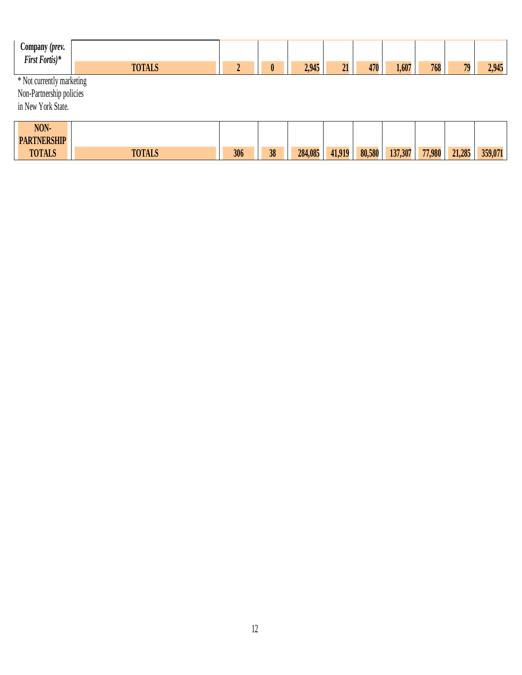| $\sim$<br>Company ( <i>prev.</i><br>First Fortis)* |               |  |       |    |     |       |     |    |       |
|----------------------------------------------------|---------------|--|-------|----|-----|-------|-----|----|-------|
|                                                    | <b>TOTALS</b> |  | 2,945 | -- | 470 | 1,607 | 768 | 79 | 2,945 |
| * Not currently marketing                          |               |  |       |    |     |       |     |    |       |

Non-Partnership policies

in New York State.

 $\mathbf{I}$ 

| NON-<br><b>PARTNERSHIP</b> |               |     |    |         |        |        |         |        |        |         |
|----------------------------|---------------|-----|----|---------|--------|--------|---------|--------|--------|---------|
| <b>TOTALS</b>              | <b>TOTALS</b> | 306 | 38 | 284,085 | 41,919 | 80,580 | 137,307 | 77,980 | 21,285 | 359,071 |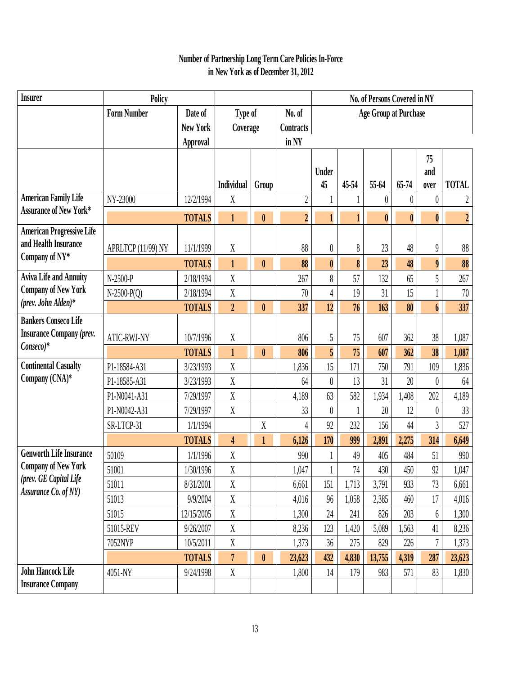#### **Number of Partnership Long Term Care Policies In-Force in New York as of December 31, 2012**

| <b>Insurer</b>                                               | Policy             |                 |                  |                  |                | No. of Persons Covered in NY<br><b>Age Group at Purchase</b> |       |                  |                  |                  |                  |
|--------------------------------------------------------------|--------------------|-----------------|------------------|------------------|----------------|--------------------------------------------------------------|-------|------------------|------------------|------------------|------------------|
|                                                              | <b>Form Number</b> | Date of         | Type of          |                  | No. of         |                                                              |       |                  |                  |                  |                  |
|                                                              |                    | <b>New York</b> | Coverage         |                  | Contracts      |                                                              |       |                  |                  |                  |                  |
|                                                              |                    | Approval        |                  |                  | in NY          |                                                              |       |                  |                  |                  |                  |
|                                                              |                    |                 |                  |                  |                |                                                              |       |                  |                  | 75               |                  |
|                                                              |                    |                 |                  |                  |                | <b>Under</b>                                                 |       |                  |                  | and              |                  |
| <b>American Family Life</b>                                  |                    |                 | Individual       | Group            |                | 45                                                           | 45-54 | 55-64            | 65-74            | over             | <b>TOTAL</b>     |
| <b>Assurance of New York*</b>                                | NY-23000           | 12/2/1994       | X                |                  | $\overline{2}$ |                                                              |       | $\theta$         | $\theta$         | $\theta$         | 2                |
|                                                              |                    | <b>TOTALS</b>   | $\mathbf{1}$     | $\boldsymbol{0}$ | $\overline{2}$ | $\mathbf{1}$                                                 |       | $\boldsymbol{0}$ | $\boldsymbol{0}$ | $\bf{0}$         | $\boldsymbol{2}$ |
| <b>American Progressive Life</b>                             |                    |                 |                  |                  |                |                                                              |       |                  |                  |                  |                  |
| and Health Insurance<br>Company of NY*                       | APRLTCP (11/99) NY | 11/1/1999       | $\mathbf X$      |                  | 88             | $\boldsymbol{0}$                                             | 8     | $23\,$           | 48               | $\theta$         | 88               |
|                                                              |                    | <b>TOTALS</b>   | $\mathbf{1}$     | $\boldsymbol{0}$ | 88             | $\boldsymbol{0}$                                             | 8     | 23               | 48               | $\boldsymbol{9}$ | 88               |
| <b>Aviva Life and Annuity</b>                                | N-2500-P           | 2/18/1994       | $\overline{X}$   |                  | 267            | 8                                                            | 57    | 132              | 65               | 5                | 267              |
| <b>Company of New York</b><br>(prev. John Alden)*            | $N-2500-P(Q)$      | 2/18/1994       | $\mathbf X$      |                  | 70             | $\overline{4}$                                               | 19    | 31               | 15               |                  | $70\,$           |
|                                                              |                    | <b>TOTALS</b>   | $\overline{2}$   | $\pmb{0}$        | 337            | 12                                                           | 76    | 163              | 80               | $\boldsymbol{6}$ | 337              |
| <b>Bankers Conseco Life</b>                                  |                    |                 |                  |                  |                |                                                              |       |                  |                  |                  |                  |
| <b>Insurance Company (prev.</b><br>$Conseco)*$               | <b>ATIC-RWJ-NY</b> | 10/7/1996       | $\mathbf X$      |                  | 806            | 5                                                            | 75    | 607              | 362              | 38               | 1,087            |
|                                                              |                    | <b>TOTALS</b>   | $\mathbf{1}$     | $\boldsymbol{0}$ | 806            | 5                                                            | 75    | 607              | 362              | 38               | 1,087            |
| <b>Continental Casualty</b>                                  | P1-18584-A31       | 3/23/1993       | $\mathbf X$      |                  | 1,836          | 15                                                           | 171   | 750              | 791              | 109              | 1,836            |
| Company (CNA)*                                               | P1-18585-A31       | 3/23/1993       | $\mathbf X$      |                  | 64             | $\boldsymbol{0}$                                             | 13    | 31               | 20               | $\theta$         | 64               |
|                                                              | P1-N0041-A31       | 7/29/1997       | $\boldsymbol{X}$ |                  | 4,189          | 63                                                           | 582   | 1,934            | 1,408            | 202              | 4,189            |
|                                                              | P1-N0042-A31       | 7/29/1997       | $\boldsymbol{X}$ |                  | 33             | $\boldsymbol{0}$                                             |       | 20               | 12               | $\theta$         | 33               |
|                                                              | SR-LTCP-31         | 1/1/1994        |                  | X                | 4              | 92                                                           | 232   | 156              | 44               | 3                | 527              |
|                                                              |                    | <b>TOTALS</b>   | 4                | $\mathbf{1}$     | 6,126          | 170                                                          | 999   | 2,891            | 2,275            | 314              | 6,649            |
| <b>Genworth Life Insurance</b><br><b>Company of New York</b> | 50109              | 1/1/1996        | $\mathbf X$      |                  | 990            |                                                              | 49    | 405              | 484              | 51               | 990              |
| (prev. GE Capital Life                                       | 51001              | 1/30/1996       | X                |                  | 1,047          |                                                              | 74    | 430              | 450              | 92               | 1,047            |
| Assurance Co. of NY)                                         | 51011              | 8/31/2001       | X                |                  | 6,661          | 151                                                          | 1,713 | 3,791            | 933              | 73               | 6,661            |
|                                                              | 51013              | 9/9/2004        | $\mathbf X$      |                  | 4,016          | 96                                                           | 1,058 | 2,385            | 460              | 17               | 4,016            |
|                                                              | 51015              | 12/15/2005      | $\mathbf X$      |                  | 1,300          | 24                                                           | 241   | 826              | 203              | 6                | 1,300            |
|                                                              | 51015-REV          | 9/26/2007       | $\mathbf X$      |                  | 8,236          | 123                                                          | 1,420 | 5,089            | 1,563            | 41               | 8,236            |
|                                                              | 7052NYP            | 10/5/2011       | X                |                  | 1,373          | 36                                                           | 275   | 829              | 226              |                  | 1,373            |
|                                                              |                    | <b>TOTALS</b>   | $\overline{7}$   | $\pmb{0}$        | 23,623         | 432                                                          | 4,830 | 13,755           | 4,319            | 287              | 23,623           |
| <b>John Hancock Life</b>                                     | 4051-NY            | 9/24/1998       | $\mathbf X$      |                  | 1,800          | 14                                                           | 179   | 983              | 571              | 83               | 1,830            |
| <b>Insurance Company</b>                                     |                    |                 |                  |                  |                |                                                              |       |                  |                  |                  |                  |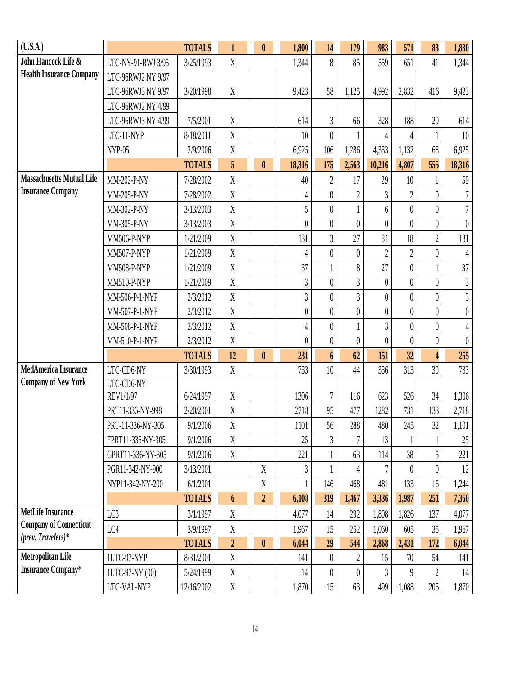| (U.S.A.)                                                  |                    | <b>TOTALS</b> | $\mathbf{1}$     | $\mathbf{0}$     | 1,800            | 14               | 179              | 983              | 571              | 83             | 1,830            |
|-----------------------------------------------------------|--------------------|---------------|------------------|------------------|------------------|------------------|------------------|------------------|------------------|----------------|------------------|
| John Hancock Life &                                       | LTC-NY-91-RWJ 3/95 | 3/25/1993     | $\mathbf{X}$     |                  | 1,344            | 8                | 85               | 559              | 651              | 41             | 1,344            |
| <b>Health Insurance Company</b>                           | LTC-96RWJ2 NY 9/97 |               |                  |                  |                  |                  |                  |                  |                  |                |                  |
|                                                           | LTC-96RWJ3 NY 9/97 | 3/20/1998     | X                |                  | 9,423            | 58               | 1,125            | 4,992            | 2,832            | 416            | 9,423            |
|                                                           | LTC-96RWJ2 NY 4/99 |               |                  |                  |                  |                  |                  |                  |                  |                |                  |
|                                                           | LTC-96RWJ3 NY 4/99 | 7/5/2001      | X                |                  | 614              | $\overline{3}$   | 66               | 328              | 188              | 29             | 614              |
|                                                           | LTC-11-NYP         | 8/18/2011     | X                |                  | 10               | $\overline{0}$   |                  | 4                | 4                |                | 10               |
|                                                           | $NYP-05$           | 2/9/2006      | X                |                  | 6,925            | 106              | 1,286            | 4,333            | 1,132            | 68             | 6,925            |
|                                                           |                    | <b>TOTALS</b> | 5                | $\mathbf{0}$     | 18,316           | 175              | 2,563            | 10,216           | 4,807            | 555            | 18,316           |
| <b>Massachusetts Mutual Life</b>                          | MM-202-P-NY        | 7/28/2002     | $\mathbf{X}$     |                  | 40               | $\overline{2}$   | 17               | 29               | 10               |                | 59               |
| <b>Insurance Company</b>                                  | MM-205-P-NY        | 7/28/2002     | X                |                  | 4                | $\theta$         | $\overline{2}$   | $\overline{3}$   | $\overline{2}$   | $\theta$       | $\overline{7}$   |
|                                                           | MM-302-P-NY        | 3/13/2003     | X                |                  | 5                | $\theta$         |                  | $6\phantom{.}6$  | $\theta$         | $\theta$       | $\overline{7}$   |
|                                                           | MM-305-P-NY        | 3/13/2003     | X                |                  | $\theta$         | $\boldsymbol{0}$ | $\theta$         | $\theta$         | $\theta$         | $\theta$       | $\theta$         |
|                                                           | <b>MM506-P-NYP</b> | 1/21/2009     | $\mathbf{X}$     |                  | 131              | $\overline{3}$   | 27               | 81               | 18               | $\overline{2}$ | 131              |
|                                                           | <b>MM507-P-NYP</b> | 1/21/2009     | X                |                  | 4                | $\overline{0}$   | $\theta$         | $\overline{2}$   | $\overline{2}$   | $\theta$       | $\overline{4}$   |
|                                                           | <b>MM508-P-NYP</b> | 1/21/2009     | $\mathbf{X}$     |                  | 37               |                  | 8                | 27               | $\boldsymbol{0}$ |                | 37               |
|                                                           | MM510-P-NYP        | 1/21/2009     | X                |                  | $\overline{3}$   | $\overline{0}$   | $\overline{3}$   | $\boldsymbol{0}$ | $\overline{0}$   | $\theta$       | $\mathfrak{Z}$   |
|                                                           | MM-506-P-1-NYP     | 2/3/2012      | X                |                  | $\overline{3}$   | $\theta$         | $\overline{3}$   | $\theta$         | $\theta$         | $\theta$       | $\mathfrak{Z}$   |
|                                                           | MM-507-P-1-NYP     | 2/3/2012      | X                |                  | $\boldsymbol{0}$ | $\theta$         | $\boldsymbol{0}$ | $\theta$         | $\overline{0}$   | $\theta$       | $\boldsymbol{0}$ |
|                                                           | MM-508-P-1-NYP     | 2/3/2012      | X                |                  | 4                | $\boldsymbol{0}$ |                  | $\mathfrak{Z}$   | $\theta$         | $\theta$       | 4                |
|                                                           | MM-510-P-1-NYP     | 2/3/2012      | X                |                  | $\theta$         | $\boldsymbol{0}$ | $\theta$         | $\theta$         | $\theta$         | $\theta$       | $\theta$         |
|                                                           |                    | <b>TOTALS</b> | 12               | $\pmb{0}$        | 231              | $\boldsymbol{6}$ | 62               | 151              | 32               | $\overline{4}$ | 255              |
| <b>MedAmerica Insurance</b>                               | LTC-CD6-NY         | 3/30/1993     | X                |                  | 733              | 10               | 44               | 336              | 313              | 30             | 733              |
| <b>Company of New York</b>                                | LTC-CD6-NY         |               |                  |                  |                  |                  |                  |                  |                  |                |                  |
|                                                           | REV1/1/97          | 6/24/1997     | X                |                  | 1306             | $\overline{7}$   | 116              | 623              | 526              | 34             | 1,306            |
|                                                           | PRT11-336-NY-998   | 2/20/2001     | X                |                  | 2718             | 95               | 477              | 1282             | 731              | 133            | 2,718            |
|                                                           | PRT-11-336-NY-305  | 9/1/2006      | $\mathbf X$      |                  | 1101             | 56               | 288              | 480              | 245              | 32             | 1,101            |
|                                                           | FPRT11-336-NY-305  | 9/1/2006      | X                |                  | 25               | $\overline{3}$   |                  | 13               |                  |                | 25               |
|                                                           | GPRT11-336-NY-305  | 9/1/2006      | X                |                  | 221              |                  | 63               | 114              | 38               | 5              | 221              |
|                                                           | PGR11-342-NY-900   | 3/13/2001     |                  | $\mathbf X$      | 3                |                  | 4                |                  | $\theta$         | $\theta$       | 12               |
|                                                           | NYP11-342-NY-200   | 6/1/2001      |                  | $\mathbf X$      |                  | 146              | 468              | 481              | 133              | 16             | 1,244            |
|                                                           |                    | <b>TOTALS</b> | $\boldsymbol{6}$ | $\boldsymbol{2}$ | 6,108            | 319              | 1,467            | 3,336            | 1,987            | 251            | 7,360            |
| <b>MetLife Insurance</b><br><b>Company of Connecticut</b> | LC3                | 3/1/1997      | X                |                  | 4,077            | 14               | 292              | 1,808            | 1,826            | 137            | 4,077            |
| (prev. Travelers)*                                        | LC4                | 3/9/1997      | X                |                  | 1,967            | 15               | 252              | 1,060            | 605              | 35             | 1,967            |
|                                                           |                    | <b>TOTALS</b> | $\overline{2}$   | $\mathbf{0}$     | 6,044            | 29               | 544              | 2,868            | 2,431            | 172            | 6,044            |
| <b>Metropolitan Life</b>                                  | 1LTC-97-NYP        | 8/31/2001     | X                |                  | 141              | $\theta$         | $\overline{2}$   | 15               | $70\,$           | 54             | 141              |
| <b>Insurance Company*</b>                                 | 1LTC-97-NY (00)    | 5/24/1999     | X                |                  | 14               | $\theta$         | $\theta$         | 3                | $\theta$         | $\overline{2}$ | 14               |
|                                                           | LTC-VAL-NYP        | 12/16/2002    | $\boldsymbol{X}$ |                  | 1,870            | 15               | 63               | 499              | 1,088            | 205            | 1,870            |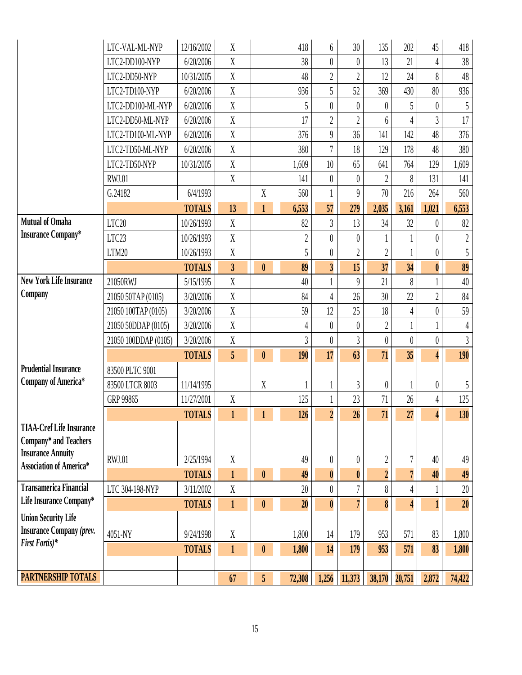|                                                            | LTC-VAL-ML-NYP       | 12/16/2002    | $\boldsymbol{X}$        |                  | 418            | 6                | 30               | 135              | 202                     | 45               | 418              |
|------------------------------------------------------------|----------------------|---------------|-------------------------|------------------|----------------|------------------|------------------|------------------|-------------------------|------------------|------------------|
|                                                            | LTC2-DD100-NYP       | 6/20/2006     | $\mathbf X$             |                  | 38             | $\overline{0}$   | $\boldsymbol{0}$ | 13               | 21                      | 4                | 38               |
|                                                            | LTC2-DD50-NYP        | 10/31/2005    | $\mathbf X$             |                  | 48             | $\overline{2}$   | $\overline{2}$   | 12               | 24                      | 8                | 48               |
|                                                            | LTC2-TD100-NYP       | 6/20/2006     | X                       |                  | 936            | 5                | 52               | 369              | 430                     | 80               | 936              |
|                                                            | LTC2-DD100-ML-NYP    | 6/20/2006     | X                       |                  | 5              | $\overline{0}$   | $\theta$         | $\theta$         | 5                       | $\theta$         | 5                |
|                                                            | LTC2-DD50-ML-NYP     | 6/20/2006     | $\mathbf X$             |                  | 17             | $\overline{2}$   | $\overline{2}$   | 6                | 4                       | $\overline{3}$   | 17               |
|                                                            | LTC2-TD100-ML-NYP    | 6/20/2006     | $\mathbf X$             |                  | 376            | $\overline{9}$   | 36               | 141              | 142                     | 48               | 376              |
|                                                            | LTC2-TD50-ML-NYP     | 6/20/2006     | X                       |                  | 380            | $\overline{7}$   | 18               | 129              | 178                     | 48               | 380              |
|                                                            | LTC2-TD50-NYP        | 10/31/2005    | $\mathbf X$             |                  | 1,609          | $10\,$           | 65               | 641              | 764                     | 129              | 1,609            |
|                                                            | <b>RWJ.01</b>        |               | X                       |                  | 141            | $\theta$         | $\theta$         | $\overline{2}$   | 8                       | 131              | 141              |
|                                                            | G.24182              | 6/4/1993      |                         | $\boldsymbol{X}$ | 560            | $\mathbf{1}$     | 9                | 70               | 216                     | 264              | 560              |
|                                                            |                      | <b>TOTALS</b> | 13                      | $\mathbf{1}$     | 6,553          | 57               | 279              | 2,035            | 3,161                   | 1,021            | 6,553            |
| <b>Mutual of Omaha</b>                                     | LTC20                | 10/26/1993    | $\boldsymbol{X}$        |                  | 82             | $\overline{3}$   | 13               | 34               | 32                      | $\theta$         | $82\,$           |
| <b>Insurance Company*</b>                                  | LTC23                | 10/26/1993    | $\boldsymbol{X}$        |                  | $\sqrt{2}$     | $\theta$         | $\theta$         |                  |                         | 0                | $\boldsymbol{2}$ |
|                                                            | LTM20                | 10/26/1993    | $\mathbf X$             |                  | 5              | $\boldsymbol{0}$ | $\overline{2}$   | $\overline{2}$   |                         | $\theta$         | 5                |
|                                                            |                      | <b>TOTALS</b> | $\overline{\mathbf{3}}$ | $\boldsymbol{0}$ | 89             | $\overline{3}$   | 15               | 37               | 34                      | $\boldsymbol{0}$ | 89               |
| <b>New York Life Insurance</b>                             | 21050RWJ             | 5/15/1995     | $\mathbf X$             |                  | 40             |                  | $\overline{9}$   | 21               | 8                       |                  | $40\,$           |
| Company                                                    | 21050 50TAP (0105)   | 3/20/2006     | $\mathbf X$             |                  | 84             | $\overline{4}$   | 26               | 30               | 22                      | $\overline{2}$   | 84               |
|                                                            | 21050 100TAP (0105)  | 3/20/2006     | X                       |                  | 59             | 12               | 25               | 18               | $\overline{4}$          | $\theta$         | 59               |
|                                                            | 21050 50DDAP (0105)  | 3/20/2006     | X                       |                  | $\overline{4}$ | $\boldsymbol{0}$ | $\theta$         | $\overline{2}$   |                         |                  | 4                |
|                                                            | 21050 100DDAP (0105) | 3/20/2006     | $\boldsymbol{X}$        |                  | 3              | $\boldsymbol{0}$ | 3                | $\theta$         | $\theta$                | $\theta$         | $\mathfrak{Z}$   |
|                                                            |                      | <b>TOTALS</b> | 5                       | $\pmb{0}$        | 190            | 17               | 63               | 71               | 35                      | 4                | 190              |
| <b>Prudential Insurance</b>                                | 83500 PLTC 9001      |               |                         |                  |                |                  |                  |                  |                         |                  |                  |
| <b>Company of America*</b>                                 | 83500 LTCR 8003      | 11/14/1995    |                         | $\mathbf X$      |                |                  | 3                | $\boldsymbol{0}$ |                         | $\theta$         | 5                |
|                                                            | GRP 99865            | 11/27/2001    | $\boldsymbol{X}$        |                  | 125            | $\mathbf{1}$     | 23               | 71               | 26                      | 4                | 125              |
|                                                            |                      | <b>TOTALS</b> | $\mathbf{1}$            | $\mathbf{1}$     | 126            | $\overline{2}$   | 26               | 71               | 27                      | 4                | 130              |
| <b>TIAA-Cref Life Insurance</b>                            |                      |               |                         |                  |                |                  |                  |                  |                         |                  |                  |
| Company* and Teachers                                      |                      |               |                         |                  |                |                  |                  |                  |                         |                  |                  |
| <b>Insurance Annuity</b><br><b>Association of America*</b> | <b>RWJ.01</b>        | 2/25/1994     | $\boldsymbol{X}$        |                  | 49             | $\pmb{0}$        | 0                | $\boldsymbol{2}$ | 7                       | 40               | 49               |
|                                                            |                      | <b>TOTALS</b> | $\mathbf{1}$            | $\mathbf{0}$     | 49             | $\pmb{0}$        | $\boldsymbol{0}$ | $\overline{2}$   | $\overline{7}$          | 40               | 49               |
| <b>Transamerica Financial</b>                              | LTC 304-198-NYP      | 3/11/2002     | $\boldsymbol{X}$        |                  | 20             | $\theta$         | 7                | 8                | 4                       |                  | $20\,$           |
| Life Insurance Company*                                    |                      | <b>TOTALS</b> | $\mathbf{1}$            | $\pmb{0}$        | 20             | $\boldsymbol{0}$ | $\overline{7}$   | 8                | $\overline{\mathbf{4}}$ | 1                | 20               |
| <b>Union Security Life</b>                                 |                      |               |                         |                  |                |                  |                  |                  |                         |                  |                  |
| <b>Insurance Company (prev.</b>                            | 4051-NY              | 9/24/1998     | $\mathbf X$             |                  | 1,800          | 14               | 179              | 953              | 571                     | 83               | 1,800            |
| First Fortis)*                                             |                      | <b>TOTALS</b> | $\mathbf{1}$            | $\pmb{0}$        | 1,800          | 14               | 179              | 953              | 571                     | 83               | 1,800            |
|                                                            |                      |               |                         |                  |                |                  |                  |                  |                         |                  |                  |
| <b>PARTNERSHIP TOTALS</b>                                  |                      |               | 67                      | 5                | 72,308         | 1,256            | 11,373           | 38,170           | 20,751                  | 2,872            | 74,422           |